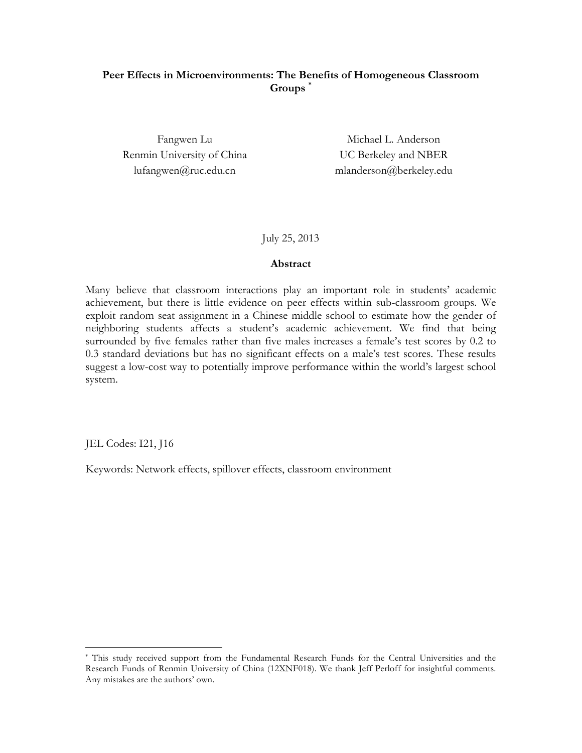# **Peer Effects in Microenvironments: The Benefits of Homogeneous Classroom Groups \***

Renmin University of China UC Berkeley and NBER

Fangwen Lu Michael L. Anderson lufangwen@ruc.edu.cn mlanderson@berkeley.edu

July 25, 2013

### **Abstract**

Many believe that classroom interactions play an important role in students' academic achievement, but there is little evidence on peer effects within sub-classroom groups. We exploit random seat assignment in a Chinese middle school to estimate how the gender of neighboring students affects a student's academic achievement. We find that being surrounded by five females rather than five males increases a female's test scores by 0.2 to 0.3 standard deviations but has no significant effects on a male's test scores. These results suggest a low-cost way to potentially improve performance within the world's largest school system.

JEL Codes: I21, J16

Keywords: Network effects, spillover effects, classroom environment

 <sup>\*</sup> This study received support from the Fundamental Research Funds for the Central Universities and the Research Funds of Renmin University of China (12XNF018). We thank Jeff Perloff for insightful comments. Any mistakes are the authors' own.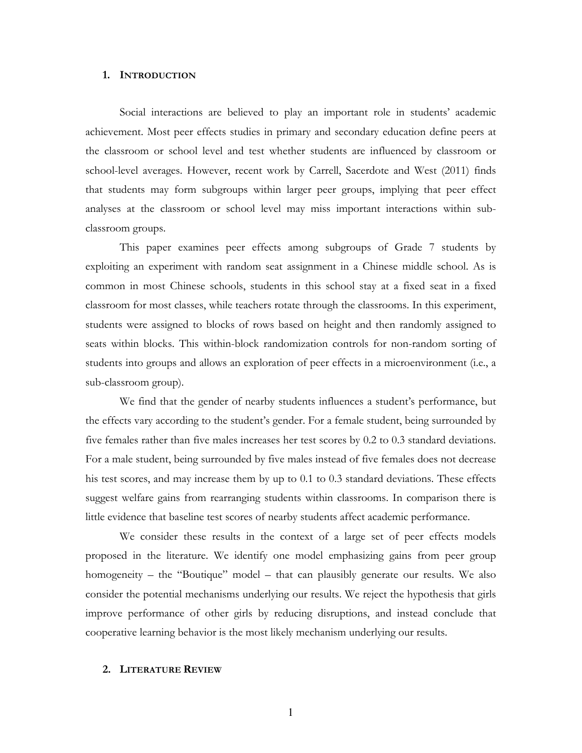### **1. INTRODUCTION**

Social interactions are believed to play an important role in students' academic achievement. Most peer effects studies in primary and secondary education define peers at the classroom or school level and test whether students are influenced by classroom or school-level averages. However, recent work by Carrell, Sacerdote and West (2011) finds that students may form subgroups within larger peer groups, implying that peer effect analyses at the classroom or school level may miss important interactions within subclassroom groups.

This paper examines peer effects among subgroups of Grade 7 students by exploiting an experiment with random seat assignment in a Chinese middle school. As is common in most Chinese schools, students in this school stay at a fixed seat in a fixed classroom for most classes, while teachers rotate through the classrooms. In this experiment, students were assigned to blocks of rows based on height and then randomly assigned to seats within blocks. This within-block randomization controls for non-random sorting of students into groups and allows an exploration of peer effects in a microenvironment (i.e., a sub-classroom group).

We find that the gender of nearby students influences a student's performance, but the effects vary according to the student's gender. For a female student, being surrounded by five females rather than five males increases her test scores by 0.2 to 0.3 standard deviations. For a male student, being surrounded by five males instead of five females does not decrease his test scores, and may increase them by up to 0.1 to 0.3 standard deviations. These effects suggest welfare gains from rearranging students within classrooms. In comparison there is little evidence that baseline test scores of nearby students affect academic performance.

We consider these results in the context of a large set of peer effects models proposed in the literature. We identify one model emphasizing gains from peer group homogeneity – the "Boutique" model – that can plausibly generate our results. We also consider the potential mechanisms underlying our results. We reject the hypothesis that girls improve performance of other girls by reducing disruptions, and instead conclude that cooperative learning behavior is the most likely mechanism underlying our results.

# **2. LITERATURE REVIEW**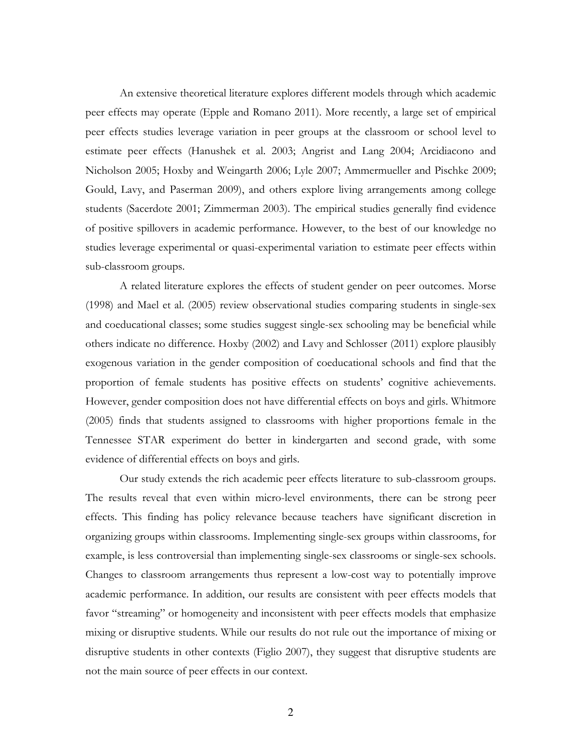An extensive theoretical literature explores different models through which academic peer effects may operate (Epple and Romano 2011). More recently, a large set of empirical peer effects studies leverage variation in peer groups at the classroom or school level to estimate peer effects (Hanushek et al. 2003; Angrist and Lang 2004; Arcidiacono and Nicholson 2005; Hoxby and Weingarth 2006; Lyle 2007; Ammermueller and Pischke 2009; Gould, Lavy, and Paserman 2009), and others explore living arrangements among college students (Sacerdote 2001; Zimmerman 2003). The empirical studies generally find evidence of positive spillovers in academic performance. However, to the best of our knowledge no studies leverage experimental or quasi-experimental variation to estimate peer effects within sub-classroom groups.

A related literature explores the effects of student gender on peer outcomes. Morse (1998) and Mael et al. (2005) review observational studies comparing students in single-sex and coeducational classes; some studies suggest single-sex schooling may be beneficial while others indicate no difference. Hoxby (2002) and Lavy and Schlosser (2011) explore plausibly exogenous variation in the gender composition of coeducational schools and find that the proportion of female students has positive effects on students' cognitive achievements. However, gender composition does not have differential effects on boys and girls. Whitmore (2005) finds that students assigned to classrooms with higher proportions female in the Tennessee STAR experiment do better in kindergarten and second grade, with some evidence of differential effects on boys and girls.

Our study extends the rich academic peer effects literature to sub-classroom groups. The results reveal that even within micro-level environments, there can be strong peer effects. This finding has policy relevance because teachers have significant discretion in organizing groups within classrooms. Implementing single-sex groups within classrooms, for example, is less controversial than implementing single-sex classrooms or single-sex schools. Changes to classroom arrangements thus represent a low-cost way to potentially improve academic performance. In addition, our results are consistent with peer effects models that favor "streaming" or homogeneity and inconsistent with peer effects models that emphasize mixing or disruptive students. While our results do not rule out the importance of mixing or disruptive students in other contexts (Figlio 2007), they suggest that disruptive students are not the main source of peer effects in our context.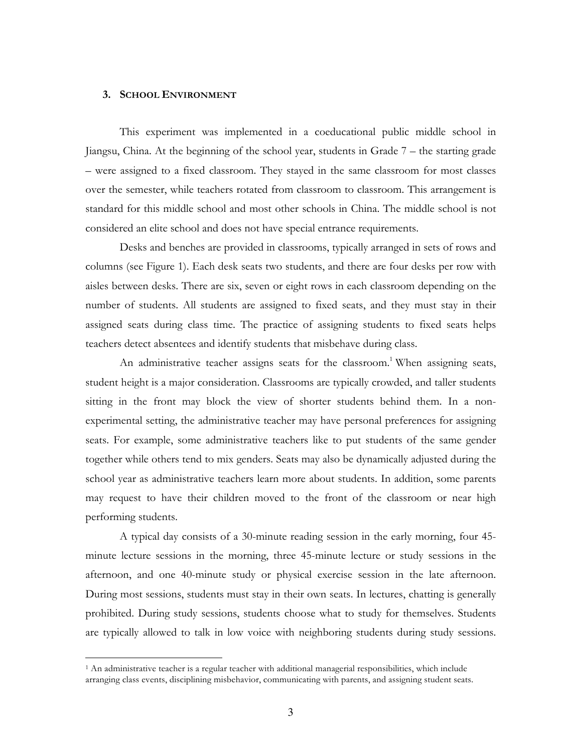# **3. SCHOOL ENVIRONMENT**

This experiment was implemented in a coeducational public middle school in Jiangsu, China. At the beginning of the school year, students in Grade 7 – the starting grade – were assigned to a fixed classroom. They stayed in the same classroom for most classes over the semester, while teachers rotated from classroom to classroom. This arrangement is standard for this middle school and most other schools in China. The middle school is not considered an elite school and does not have special entrance requirements.

Desks and benches are provided in classrooms, typically arranged in sets of rows and columns (see Figure 1). Each desk seats two students, and there are four desks per row with aisles between desks. There are six, seven or eight rows in each classroom depending on the number of students. All students are assigned to fixed seats, and they must stay in their assigned seats during class time. The practice of assigning students to fixed seats helps teachers detect absentees and identify students that misbehave during class.

An administrative teacher assigns seats for the classroom.<sup>1</sup> When assigning seats, student height is a major consideration. Classrooms are typically crowded, and taller students sitting in the front may block the view of shorter students behind them. In a nonexperimental setting, the administrative teacher may have personal preferences for assigning seats. For example, some administrative teachers like to put students of the same gender together while others tend to mix genders. Seats may also be dynamically adjusted during the school year as administrative teachers learn more about students. In addition, some parents may request to have their children moved to the front of the classroom or near high performing students.

A typical day consists of a 30-minute reading session in the early morning, four 45 minute lecture sessions in the morning, three 45-minute lecture or study sessions in the afternoon, and one 40-minute study or physical exercise session in the late afternoon. During most sessions, students must stay in their own seats. In lectures, chatting is generally prohibited. During study sessions, students choose what to study for themselves. Students are typically allowed to talk in low voice with neighboring students during study sessions.

 <sup>1</sup> An administrative teacher is a regular teacher with additional managerial responsibilities, which include arranging class events, disciplining misbehavior, communicating with parents, and assigning student seats.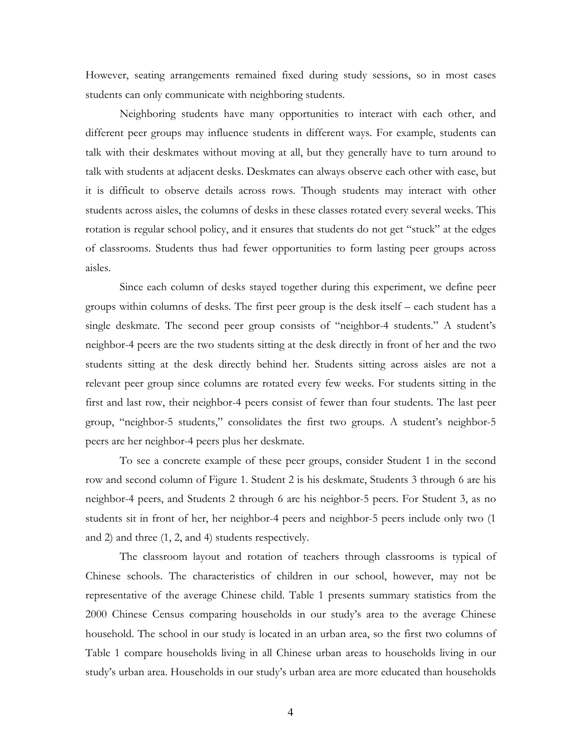However, seating arrangements remained fixed during study sessions, so in most cases students can only communicate with neighboring students.

Neighboring students have many opportunities to interact with each other, and different peer groups may influence students in different ways. For example, students can talk with their deskmates without moving at all, but they generally have to turn around to talk with students at adjacent desks. Deskmates can always observe each other with ease, but it is difficult to observe details across rows. Though students may interact with other students across aisles, the columns of desks in these classes rotated every several weeks. This rotation is regular school policy, and it ensures that students do not get "stuck" at the edges of classrooms. Students thus had fewer opportunities to form lasting peer groups across aisles.

Since each column of desks stayed together during this experiment, we define peer groups within columns of desks. The first peer group is the desk itself – each student has a single deskmate. The second peer group consists of "neighbor-4 students." A student's neighbor-4 peers are the two students sitting at the desk directly in front of her and the two students sitting at the desk directly behind her. Students sitting across aisles are not a relevant peer group since columns are rotated every few weeks. For students sitting in the first and last row, their neighbor-4 peers consist of fewer than four students. The last peer group, "neighbor-5 students," consolidates the first two groups. A student's neighbor-5 peers are her neighbor-4 peers plus her deskmate.

To see a concrete example of these peer groups, consider Student 1 in the second row and second column of Figure 1. Student 2 is his deskmate, Students 3 through 6 are his neighbor-4 peers, and Students 2 through 6 are his neighbor-5 peers. For Student 3, as no students sit in front of her, her neighbor-4 peers and neighbor-5 peers include only two (1 and 2) and three (1, 2, and 4) students respectively.

The classroom layout and rotation of teachers through classrooms is typical of Chinese schools. The characteristics of children in our school, however, may not be representative of the average Chinese child. Table 1 presents summary statistics from the 2000 Chinese Census comparing households in our study's area to the average Chinese household. The school in our study is located in an urban area, so the first two columns of Table 1 compare households living in all Chinese urban areas to households living in our study's urban area. Households in our study's urban area are more educated than households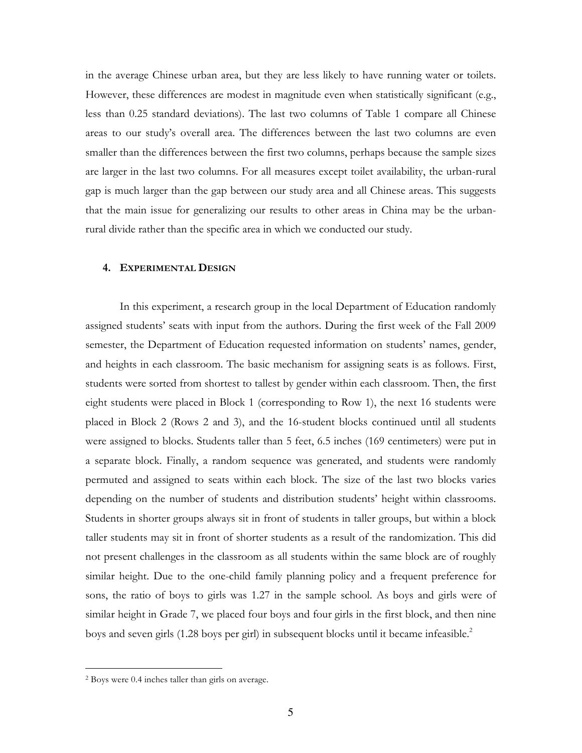in the average Chinese urban area, but they are less likely to have running water or toilets. However, these differences are modest in magnitude even when statistically significant (e.g., less than 0.25 standard deviations). The last two columns of Table 1 compare all Chinese areas to our study's overall area. The differences between the last two columns are even smaller than the differences between the first two columns, perhaps because the sample sizes are larger in the last two columns. For all measures except toilet availability, the urban-rural gap is much larger than the gap between our study area and all Chinese areas. This suggests that the main issue for generalizing our results to other areas in China may be the urbanrural divide rather than the specific area in which we conducted our study.

# **4. EXPERIMENTAL DESIGN**

In this experiment, a research group in the local Department of Education randomly assigned students' seats with input from the authors. During the first week of the Fall 2009 semester, the Department of Education requested information on students' names, gender, and heights in each classroom. The basic mechanism for assigning seats is as follows. First, students were sorted from shortest to tallest by gender within each classroom. Then, the first eight students were placed in Block 1 (corresponding to Row 1), the next 16 students were placed in Block 2 (Rows 2 and 3), and the 16-student blocks continued until all students were assigned to blocks. Students taller than 5 feet, 6.5 inches (169 centimeters) were put in a separate block. Finally, a random sequence was generated, and students were randomly permuted and assigned to seats within each block. The size of the last two blocks varies depending on the number of students and distribution students' height within classrooms. Students in shorter groups always sit in front of students in taller groups, but within a block taller students may sit in front of shorter students as a result of the randomization. This did not present challenges in the classroom as all students within the same block are of roughly similar height. Due to the one-child family planning policy and a frequent preference for sons, the ratio of boys to girls was 1.27 in the sample school. As boys and girls were of similar height in Grade 7, we placed four boys and four girls in the first block, and then nine boys and seven girls (1.28 boys per girl) in subsequent blocks until it became infeasible.<sup>2</sup>

 <sup>2</sup> Boys were 0.4 inches taller than girls on average.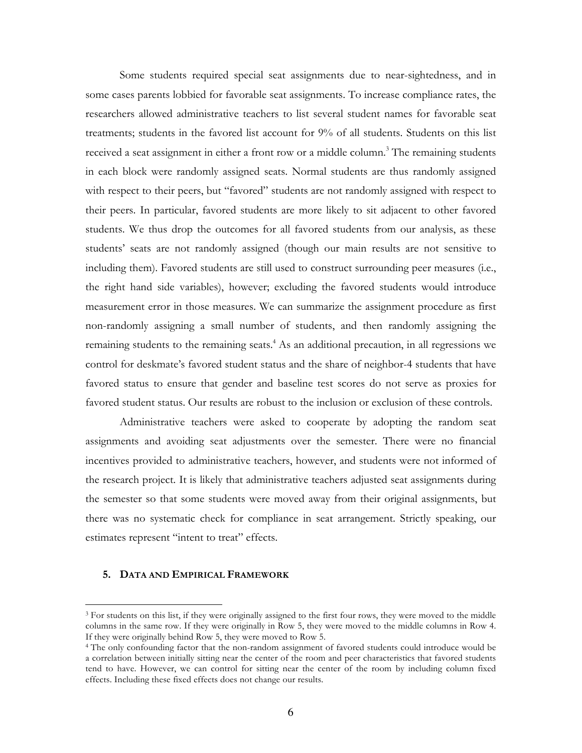Some students required special seat assignments due to near-sightedness, and in some cases parents lobbied for favorable seat assignments. To increase compliance rates, the researchers allowed administrative teachers to list several student names for favorable seat treatments; students in the favored list account for 9% of all students. Students on this list received a seat assignment in either a front row or a middle column.<sup>3</sup> The remaining students in each block were randomly assigned seats. Normal students are thus randomly assigned with respect to their peers, but "favored" students are not randomly assigned with respect to their peers. In particular, favored students are more likely to sit adjacent to other favored students. We thus drop the outcomes for all favored students from our analysis, as these students' seats are not randomly assigned (though our main results are not sensitive to including them). Favored students are still used to construct surrounding peer measures (i.e., the right hand side variables), however; excluding the favored students would introduce measurement error in those measures. We can summarize the assignment procedure as first non-randomly assigning a small number of students, and then randomly assigning the remaining students to the remaining seats.<sup>4</sup> As an additional precaution, in all regressions we control for deskmate's favored student status and the share of neighbor-4 students that have favored status to ensure that gender and baseline test scores do not serve as proxies for favored student status. Our results are robust to the inclusion or exclusion of these controls.

Administrative teachers were asked to cooperate by adopting the random seat assignments and avoiding seat adjustments over the semester. There were no financial incentives provided to administrative teachers, however, and students were not informed of the research project. It is likely that administrative teachers adjusted seat assignments during the semester so that some students were moved away from their original assignments, but there was no systematic check for compliance in seat arrangement. Strictly speaking, our estimates represent "intent to treat" effects.

# **5. DATA AND EMPIRICAL FRAMEWORK**

<sup>&</sup>lt;sup>3</sup> For students on this list, if they were originally assigned to the first four rows, they were moved to the middle columns in the same row. If they were originally in Row 5, they were moved to the middle columns in Row 4. If they were originally behind Row 5, they were moved to Row 5.

<sup>4</sup> The only confounding factor that the non-random assignment of favored students could introduce would be a correlation between initially sitting near the center of the room and peer characteristics that favored students tend to have. However, we can control for sitting near the center of the room by including column fixed effects. Including these fixed effects does not change our results.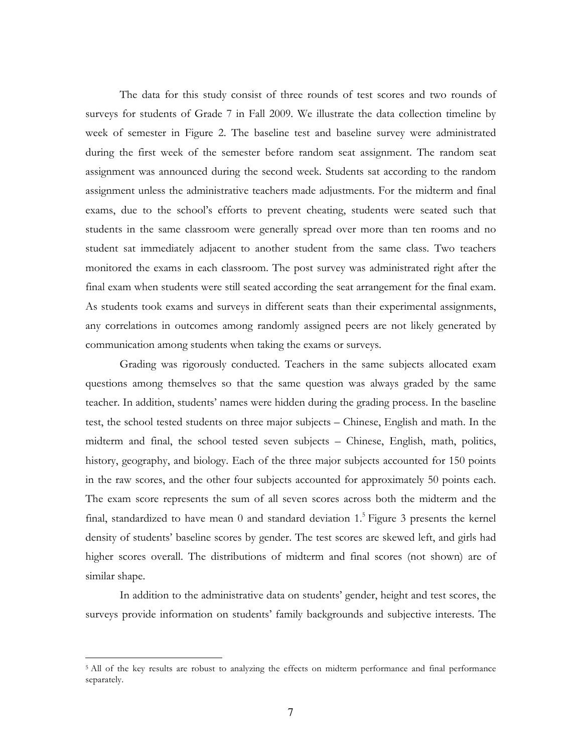The data for this study consist of three rounds of test scores and two rounds of surveys for students of Grade 7 in Fall 2009. We illustrate the data collection timeline by week of semester in Figure 2. The baseline test and baseline survey were administrated during the first week of the semester before random seat assignment. The random seat assignment was announced during the second week. Students sat according to the random assignment unless the administrative teachers made adjustments. For the midterm and final exams, due to the school's efforts to prevent cheating, students were seated such that students in the same classroom were generally spread over more than ten rooms and no student sat immediately adjacent to another student from the same class. Two teachers monitored the exams in each classroom. The post survey was administrated right after the final exam when students were still seated according the seat arrangement for the final exam. As students took exams and surveys in different seats than their experimental assignments, any correlations in outcomes among randomly assigned peers are not likely generated by communication among students when taking the exams or surveys.

Grading was rigorously conducted. Teachers in the same subjects allocated exam questions among themselves so that the same question was always graded by the same teacher. In addition, students' names were hidden during the grading process. In the baseline test, the school tested students on three major subjects – Chinese, English and math. In the midterm and final, the school tested seven subjects – Chinese, English, math, politics, history, geography, and biology. Each of the three major subjects accounted for 150 points in the raw scores, and the other four subjects accounted for approximately 50 points each. The exam score represents the sum of all seven scores across both the midterm and the final, standardized to have mean 0 and standard deviation 1.<sup>5</sup> Figure 3 presents the kernel density of students' baseline scores by gender. The test scores are skewed left, and girls had higher scores overall. The distributions of midterm and final scores (not shown) are of similar shape.

In addition to the administrative data on students' gender, height and test scores, the surveys provide information on students' family backgrounds and subjective interests. The

<sup>&</sup>lt;sup>5</sup> All of the key results are robust to analyzing the effects on midterm performance and final performance separately.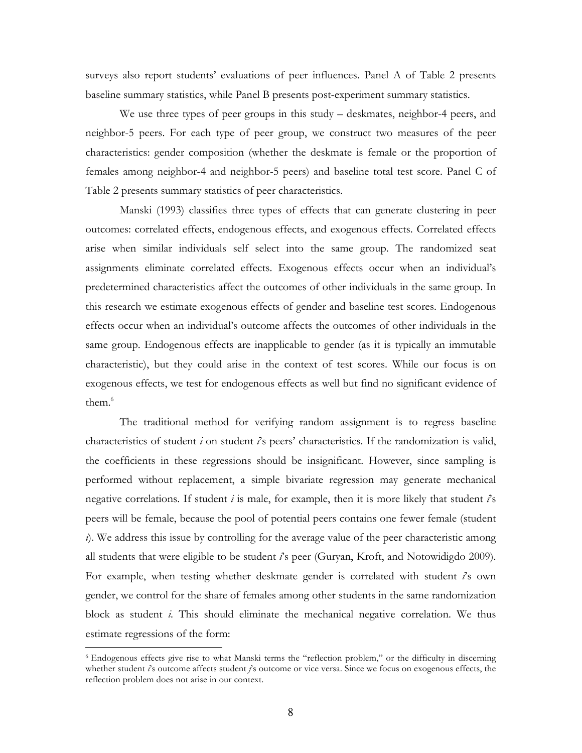surveys also report students' evaluations of peer influences. Panel A of Table 2 presents baseline summary statistics, while Panel B presents post-experiment summary statistics.

We use three types of peer groups in this study – deskmates, neighbor-4 peers, and neighbor-5 peers. For each type of peer group, we construct two measures of the peer characteristics: gender composition (whether the deskmate is female or the proportion of females among neighbor-4 and neighbor-5 peers) and baseline total test score. Panel C of Table 2 presents summary statistics of peer characteristics.

Manski (1993) classifies three types of effects that can generate clustering in peer outcomes: correlated effects, endogenous effects, and exogenous effects. Correlated effects arise when similar individuals self select into the same group. The randomized seat assignments eliminate correlated effects. Exogenous effects occur when an individual's predetermined characteristics affect the outcomes of other individuals in the same group. In this research we estimate exogenous effects of gender and baseline test scores. Endogenous effects occur when an individual's outcome affects the outcomes of other individuals in the same group. Endogenous effects are inapplicable to gender (as it is typically an immutable characteristic), but they could arise in the context of test scores. While our focus is on exogenous effects, we test for endogenous effects as well but find no significant evidence of them $6$ 

The traditional method for verifying random assignment is to regress baseline characteristics of student *i* on student *i*'s peers' characteristics. If the randomization is valid, the coefficients in these regressions should be insignificant. However, since sampling is performed without replacement, a simple bivariate regression may generate mechanical negative correlations. If student *i* is male, for example, then it is more likely that student *i*'s peers will be female, because the pool of potential peers contains one fewer female (student *i*). We address this issue by controlling for the average value of the peer characteristic among all students that were eligible to be student *i*'s peer (Guryan, Kroft, and Notowidigdo 2009). For example, when testing whether deskmate gender is correlated with student  $\hat{i}$ s own gender, we control for the share of females among other students in the same randomization block as student *i*. This should eliminate the mechanical negative correlation. We thus estimate regressions of the form:

 <sup>6</sup> Endogenous effects give rise to what Manski terms the "reflection problem," or the difficulty in discerning whether student *i*'s outcome affects student *j*'s outcome or vice versa. Since we focus on exogenous effects, the reflection problem does not arise in our context.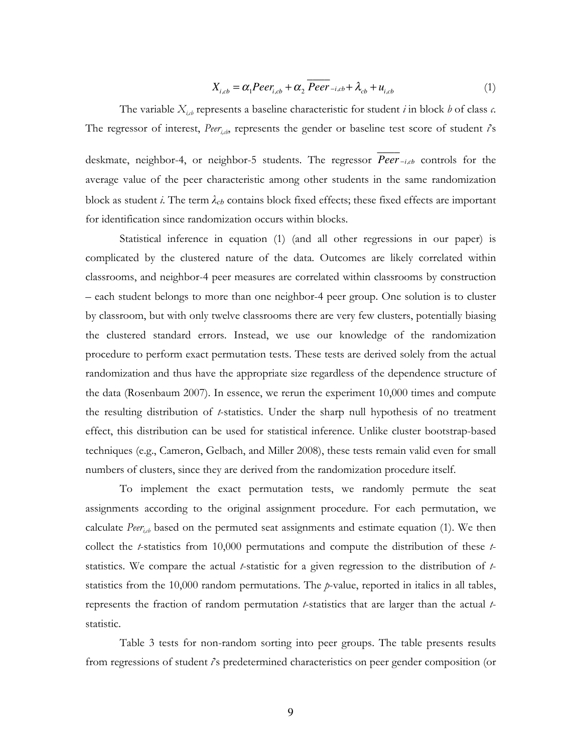$$
X_{i,cb} = \alpha_1 Peer_{i,cb} + \alpha_2 \overline{Peer}_{-i,cb} + \lambda_{cb} + u_{i,cb}
$$
 (1)

The variable  $X_{i,j}$  represents a baseline characteristic for student *i* in block *b* of class *c*. The regressor of interest, *Peer<sub>ich</sub>*, represents the gender or baseline test score of student *i*'s

deskmate, neighbor-4, or neighbor-5 students. The regressor *Peer \_\_\_\_* <sup>−</sup>*i*,*cb* controls for the average value of the peer characteristic among other students in the same randomization block as student *i*. The term *λcb* contains block fixed effects; these fixed effects are important for identification since randomization occurs within blocks.

Statistical inference in equation (1) (and all other regressions in our paper) is complicated by the clustered nature of the data. Outcomes are likely correlated within classrooms, and neighbor-4 peer measures are correlated within classrooms by construction – each student belongs to more than one neighbor-4 peer group. One solution is to cluster by classroom, but with only twelve classrooms there are very few clusters, potentially biasing the clustered standard errors. Instead, we use our knowledge of the randomization procedure to perform exact permutation tests. These tests are derived solely from the actual randomization and thus have the appropriate size regardless of the dependence structure of the data (Rosenbaum 2007). In essence, we rerun the experiment 10,000 times and compute the resulting distribution of *t*-statistics. Under the sharp null hypothesis of no treatment effect, this distribution can be used for statistical inference. Unlike cluster bootstrap-based techniques (e.g., Cameron, Gelbach, and Miller 2008), these tests remain valid even for small numbers of clusters, since they are derived from the randomization procedure itself.

To implement the exact permutation tests, we randomly permute the seat assignments according to the original assignment procedure. For each permutation, we calculate *Peer<sub>ich</sub>* based on the permuted seat assignments and estimate equation (1). We then collect the *t*-statistics from 10,000 permutations and compute the distribution of these *t*statistics. We compare the actual *t*-statistic for a given regression to the distribution of *t*statistics from the 10,000 random permutations. The *p*-value, reported in italics in all tables, represents the fraction of random permutation *t*-statistics that are larger than the actual *t*statistic.

Table 3 tests for non-random sorting into peer groups. The table presents results from regressions of student *i*'s predetermined characteristics on peer gender composition (or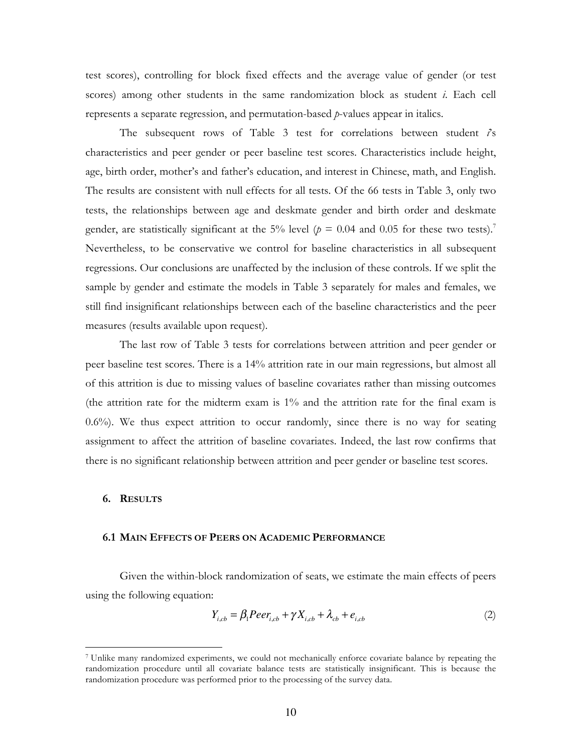test scores), controlling for block fixed effects and the average value of gender (or test scores) among other students in the same randomization block as student *i*. Each cell represents a separate regression, and permutation-based *p*-values appear in italics.

The subsequent rows of Table 3 test for correlations between student *i*'s characteristics and peer gender or peer baseline test scores. Characteristics include height, age, birth order, mother's and father's education, and interest in Chinese, math, and English. The results are consistent with null effects for all tests. Of the 66 tests in Table 3, only two tests, the relationships between age and deskmate gender and birth order and deskmate gender, are statistically significant at the 5% level ( $p = 0.04$  and 0.05 for these two tests).<sup>7</sup> Nevertheless, to be conservative we control for baseline characteristics in all subsequent regressions. Our conclusions are unaffected by the inclusion of these controls. If we split the sample by gender and estimate the models in Table 3 separately for males and females, we still find insignificant relationships between each of the baseline characteristics and the peer measures (results available upon request).

The last row of Table 3 tests for correlations between attrition and peer gender or peer baseline test scores. There is a 14% attrition rate in our main regressions, but almost all of this attrition is due to missing values of baseline covariates rather than missing outcomes (the attrition rate for the midterm exam is 1% and the attrition rate for the final exam is  $0.6\%$ ). We thus expect attrition to occur randomly, since there is no way for seating assignment to affect the attrition of baseline covariates. Indeed, the last row confirms that there is no significant relationship between attrition and peer gender or baseline test scores.

### **6. RESULTS**

#### **6.1 MAIN EFFECTS OF PEERS ON ACADEMIC PERFORMANCE**

Given the within-block randomization of seats, we estimate the main effects of peers using the following equation:

$$
Y_{i,cb} = \beta_1 P e e r_{i,cb} + \gamma X_{i,cb} + \lambda_{cb} + e_{i,cb}
$$
 (2)

 <sup>7</sup> Unlike many randomized experiments, we could not mechanically enforce covariate balance by repeating the randomization procedure until all covariate balance tests are statistically insignificant. This is because the randomization procedure was performed prior to the processing of the survey data.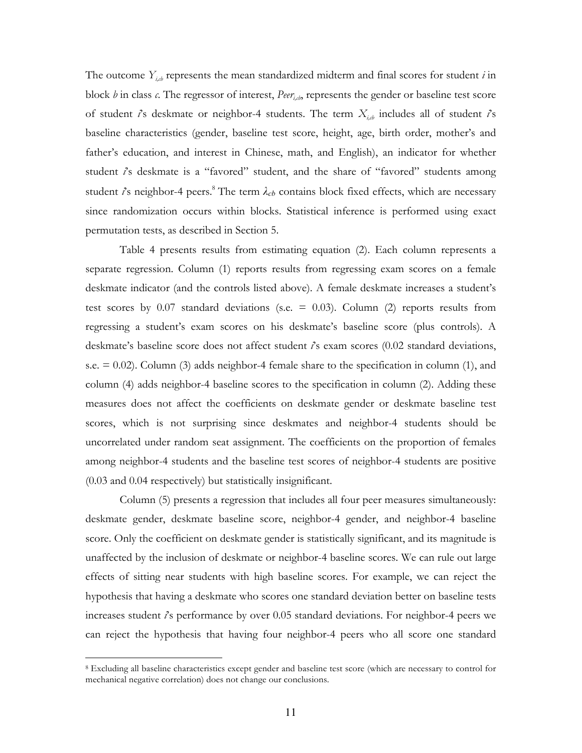The outcome  $Y_{i,j}$  represents the mean standardized midterm and final scores for student *i* in block  $b$  in class  $c$ . The regressor of interest, *Peer<sub>ido</sub>*, represents the gender or baseline test score of student  $i$ 's deskmate or neighbor-4 students. The term  $X_{i,b}$  includes all of student  $i$ 's baseline characteristics (gender, baseline test score, height, age, birth order, mother's and father's education, and interest in Chinese, math, and English), an indicator for whether student *i*'s deskmate is a "favored" student, and the share of "favored" students among student *i*'s neighbor-4 peers. <sup>8</sup> The term *λcb* contains block fixed effects, which are necessary since randomization occurs within blocks. Statistical inference is performed using exact permutation tests, as described in Section 5.

Table 4 presents results from estimating equation (2). Each column represents a separate regression. Column (1) reports results from regressing exam scores on a female deskmate indicator (and the controls listed above). A female deskmate increases a student's test scores by  $0.07$  standard deviations (s.e. =  $0.03$ ). Column (2) reports results from regressing a student's exam scores on his deskmate's baseline score (plus controls). A deskmate's baseline score does not affect student *i*'s exam scores (0.02 standard deviations, s.e.  $= 0.02$ ). Column (3) adds neighbor-4 female share to the specification in column (1), and column (4) adds neighbor-4 baseline scores to the specification in column (2). Adding these measures does not affect the coefficients on deskmate gender or deskmate baseline test scores, which is not surprising since deskmates and neighbor-4 students should be uncorrelated under random seat assignment. The coefficients on the proportion of females among neighbor-4 students and the baseline test scores of neighbor-4 students are positive (0.03 and 0.04 respectively) but statistically insignificant.

Column (5) presents a regression that includes all four peer measures simultaneously: deskmate gender, deskmate baseline score, neighbor-4 gender, and neighbor-4 baseline score. Only the coefficient on deskmate gender is statistically significant, and its magnitude is unaffected by the inclusion of deskmate or neighbor-4 baseline scores. We can rule out large effects of sitting near students with high baseline scores. For example, we can reject the hypothesis that having a deskmate who scores one standard deviation better on baseline tests increases student *i*'s performance by over 0.05 standard deviations. For neighbor-4 peers we can reject the hypothesis that having four neighbor-4 peers who all score one standard

 <sup>8</sup> Excluding all baseline characteristics except gender and baseline test score (which are necessary to control for mechanical negative correlation) does not change our conclusions.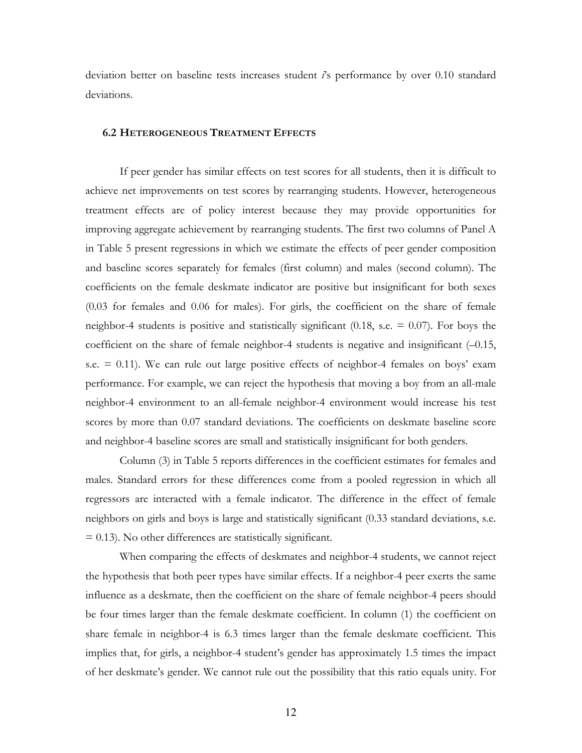deviation better on baseline tests increases student *i*'s performance by over 0.10 standard deviations.

# **6.2 HETEROGENEOUS TREATMENT EFFECTS**

If peer gender has similar effects on test scores for all students, then it is difficult to achieve net improvements on test scores by rearranging students. However, heterogeneous treatment effects are of policy interest because they may provide opportunities for improving aggregate achievement by rearranging students. The first two columns of Panel A in Table 5 present regressions in which we estimate the effects of peer gender composition and baseline scores separately for females (first column) and males (second column). The coefficients on the female deskmate indicator are positive but insignificant for both sexes (0.03 for females and 0.06 for males). For girls, the coefficient on the share of female neighbor-4 students is positive and statistically significant  $(0.18, s.e. = 0.07)$ . For boys the coefficient on the share of female neighbor-4 students is negative and insignificant (–0.15, s.e.  $= 0.11$ ). We can rule out large positive effects of neighbor-4 females on boys' exam performance. For example, we can reject the hypothesis that moving a boy from an all-male neighbor-4 environment to an all-female neighbor-4 environment would increase his test scores by more than 0.07 standard deviations. The coefficients on deskmate baseline score and neighbor-4 baseline scores are small and statistically insignificant for both genders.

Column (3) in Table 5 reports differences in the coefficient estimates for females and males. Standard errors for these differences come from a pooled regression in which all regressors are interacted with a female indicator. The difference in the effect of female neighbors on girls and boys is large and statistically significant (0.33 standard deviations, s.e.  $= 0.13$ ). No other differences are statistically significant.

When comparing the effects of deskmates and neighbor-4 students, we cannot reject the hypothesis that both peer types have similar effects. If a neighbor-4 peer exerts the same influence as a deskmate, then the coefficient on the share of female neighbor-4 peers should be four times larger than the female deskmate coefficient. In column (1) the coefficient on share female in neighbor-4 is 6.3 times larger than the female deskmate coefficient. This implies that, for girls, a neighbor-4 student's gender has approximately 1.5 times the impact of her deskmate's gender. We cannot rule out the possibility that this ratio equals unity. For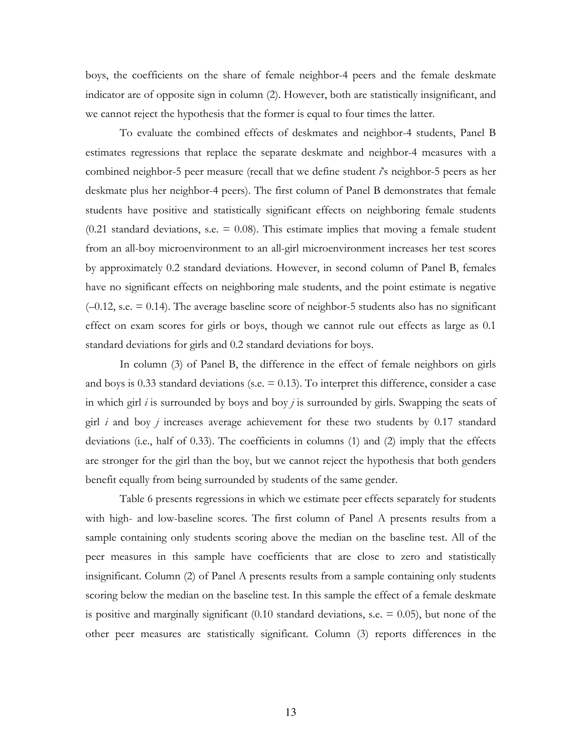boys, the coefficients on the share of female neighbor-4 peers and the female deskmate indicator are of opposite sign in column (2). However, both are statistically insignificant, and we cannot reject the hypothesis that the former is equal to four times the latter.

To evaluate the combined effects of deskmates and neighbor-4 students, Panel B estimates regressions that replace the separate deskmate and neighbor-4 measures with a combined neighbor-5 peer measure (recall that we define student *i*'s neighbor-5 peers as her deskmate plus her neighbor-4 peers). The first column of Panel B demonstrates that female students have positive and statistically significant effects on neighboring female students (0.21 standard deviations, s.e.  $=$  0.08). This estimate implies that moving a female student from an all-boy microenvironment to an all-girl microenvironment increases her test scores by approximately 0.2 standard deviations. However, in second column of Panel B, females have no significant effects on neighboring male students, and the point estimate is negative  $(-0.12, \text{s.e.} = 0.14)$ . The average baseline score of neighbor-5 students also has no significant effect on exam scores for girls or boys, though we cannot rule out effects as large as 0.1 standard deviations for girls and 0.2 standard deviations for boys.

In column (3) of Panel B, the difference in the effect of female neighbors on girls and boys is 0.33 standard deviations (s.e.  $= 0.13$ ). To interpret this difference, consider a case in which girl *i* is surrounded by boys and boy *j* is surrounded by girls. Swapping the seats of girl *i* and boy *j* increases average achievement for these two students by 0.17 standard deviations (i.e., half of 0.33). The coefficients in columns (1) and (2) imply that the effects are stronger for the girl than the boy, but we cannot reject the hypothesis that both genders benefit equally from being surrounded by students of the same gender.

Table 6 presents regressions in which we estimate peer effects separately for students with high- and low-baseline scores. The first column of Panel A presents results from a sample containing only students scoring above the median on the baseline test. All of the peer measures in this sample have coefficients that are close to zero and statistically insignificant. Column (2) of Panel A presents results from a sample containing only students scoring below the median on the baseline test. In this sample the effect of a female deskmate is positive and marginally significant  $(0.10$  standard deviations, s.e.  $= 0.05$ ), but none of the other peer measures are statistically significant. Column (3) reports differences in the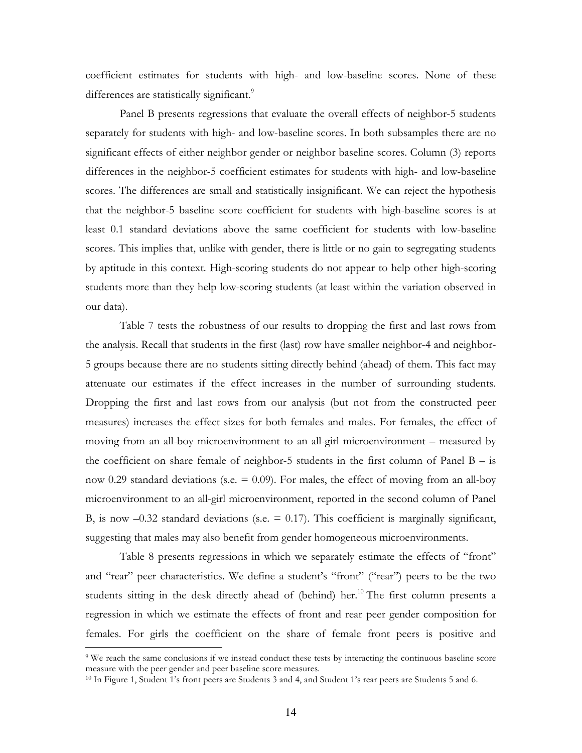coefficient estimates for students with high- and low-baseline scores. None of these differences are statistically significant.<sup>9</sup>

Panel B presents regressions that evaluate the overall effects of neighbor-5 students separately for students with high- and low-baseline scores. In both subsamples there are no significant effects of either neighbor gender or neighbor baseline scores. Column (3) reports differences in the neighbor-5 coefficient estimates for students with high- and low-baseline scores. The differences are small and statistically insignificant. We can reject the hypothesis that the neighbor-5 baseline score coefficient for students with high-baseline scores is at least 0.1 standard deviations above the same coefficient for students with low-baseline scores. This implies that, unlike with gender, there is little or no gain to segregating students by aptitude in this context. High-scoring students do not appear to help other high-scoring students more than they help low-scoring students (at least within the variation observed in our data).

Table 7 tests the robustness of our results to dropping the first and last rows from the analysis. Recall that students in the first (last) row have smaller neighbor-4 and neighbor-5 groups because there are no students sitting directly behind (ahead) of them. This fact may attenuate our estimates if the effect increases in the number of surrounding students. Dropping the first and last rows from our analysis (but not from the constructed peer measures) increases the effect sizes for both females and males. For females, the effect of moving from an all-boy microenvironment to an all-girl microenvironment – measured by the coefficient on share female of neighbor-5 students in the first column of Panel  $B - i$ s now 0.29 standard deviations (s.e.  $= 0.09$ ). For males, the effect of moving from an all-boy microenvironment to an all-girl microenvironment, reported in the second column of Panel B, is now  $-0.32$  standard deviations (s.e.  $= 0.17$ ). This coefficient is marginally significant, suggesting that males may also benefit from gender homogeneous microenvironments.

Table 8 presents regressions in which we separately estimate the effects of "front" and "rear" peer characteristics. We define a student's "front" ("rear") peers to be the two students sitting in the desk directly ahead of (behind) her.<sup>10</sup> The first column presents a regression in which we estimate the effects of front and rear peer gender composition for females. For girls the coefficient on the share of female front peers is positive and

 <sup>9</sup> We reach the same conclusions if we instead conduct these tests by interacting the continuous baseline score measure with the peer gender and peer baseline score measures.

<sup>10</sup> In Figure 1, Student 1's front peers are Students 3 and 4, and Student 1's rear peers are Students 5 and 6.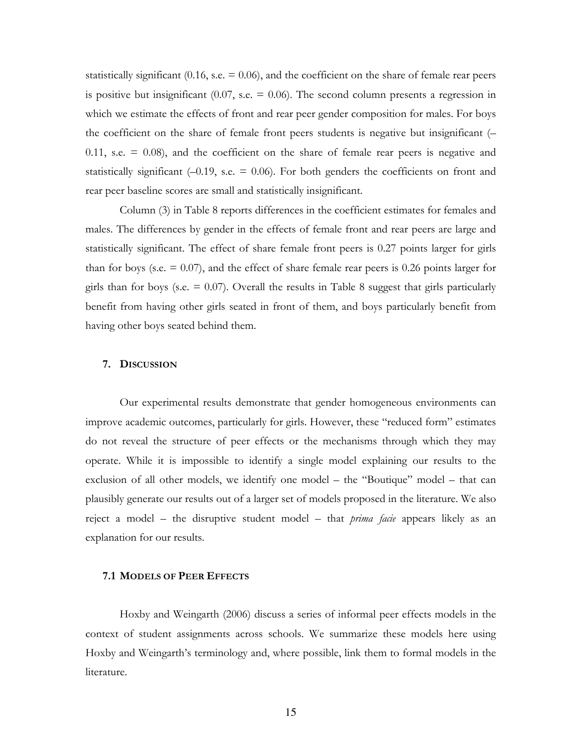statistically significant (0.16, s.e.  $= 0.06$ ), and the coefficient on the share of female rear peers is positive but insignificant  $(0.07, s.e. = 0.06)$ . The second column presents a regression in which we estimate the effects of front and rear peer gender composition for males. For boys the coefficient on the share of female front peers students is negative but insignificant (–  $0.11$ , s.e.  $= 0.08$ ), and the coefficient on the share of female rear peers is negative and statistically significant  $(-0.19, \text{ s.e.} = 0.06)$ . For both genders the coefficients on front and rear peer baseline scores are small and statistically insignificant.

Column (3) in Table 8 reports differences in the coefficient estimates for females and males. The differences by gender in the effects of female front and rear peers are large and statistically significant. The effect of share female front peers is 0.27 points larger for girls than for boys (s.e.  $= 0.07$ ), and the effect of share female rear peers is 0.26 points larger for girls than for boys (s.e.  $= 0.07$ ). Overall the results in Table 8 suggest that girls particularly benefit from having other girls seated in front of them, and boys particularly benefit from having other boys seated behind them.

### **7. DISCUSSION**

Our experimental results demonstrate that gender homogeneous environments can improve academic outcomes, particularly for girls. However, these "reduced form" estimates do not reveal the structure of peer effects or the mechanisms through which they may operate. While it is impossible to identify a single model explaining our results to the exclusion of all other models, we identify one model – the "Boutique" model – that can plausibly generate our results out of a larger set of models proposed in the literature. We also reject a model – the disruptive student model – that *prima facie* appears likely as an explanation for our results.

# **7.1 MODELS OF PEER EFFECTS**

Hoxby and Weingarth (2006) discuss a series of informal peer effects models in the context of student assignments across schools. We summarize these models here using Hoxby and Weingarth's terminology and, where possible, link them to formal models in the literature.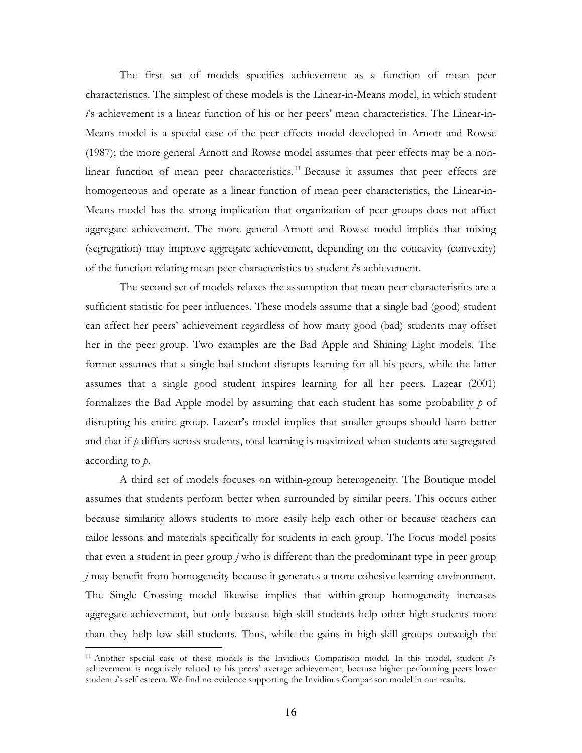The first set of models specifies achievement as a function of mean peer characteristics. The simplest of these models is the Linear-in-Means model, in which student *i*'s achievement is a linear function of his or her peers' mean characteristics. The Linear-in-Means model is a special case of the peer effects model developed in Arnott and Rowse (1987); the more general Arnott and Rowse model assumes that peer effects may be a nonlinear function of mean peer characteristics.<sup>11</sup> Because it assumes that peer effects are homogeneous and operate as a linear function of mean peer characteristics, the Linear-in-Means model has the strong implication that organization of peer groups does not affect aggregate achievement. The more general Arnott and Rowse model implies that mixing (segregation) may improve aggregate achievement, depending on the concavity (convexity) of the function relating mean peer characteristics to student *i*'s achievement.

The second set of models relaxes the assumption that mean peer characteristics are a sufficient statistic for peer influences. These models assume that a single bad (good) student can affect her peers' achievement regardless of how many good (bad) students may offset her in the peer group. Two examples are the Bad Apple and Shining Light models. The former assumes that a single bad student disrupts learning for all his peers, while the latter assumes that a single good student inspires learning for all her peers. Lazear (2001) formalizes the Bad Apple model by assuming that each student has some probability *p* of disrupting his entire group. Lazear's model implies that smaller groups should learn better and that if  $p$  differs across students, total learning is maximized when students are segregated according to *p*.

A third set of models focuses on within-group heterogeneity. The Boutique model assumes that students perform better when surrounded by similar peers. This occurs either because similarity allows students to more easily help each other or because teachers can tailor lessons and materials specifically for students in each group. The Focus model posits that even a student in peer group *j* who is different than the predominant type in peer group *j* may benefit from homogeneity because it generates a more cohesive learning environment. The Single Crossing model likewise implies that within-group homogeneity increases aggregate achievement, but only because high-skill students help other high-students more than they help low-skill students. Thus, while the gains in high-skill groups outweigh the

 <sup>11</sup> Another special case of these models is the Invidious Comparison model. In this model, student *i*'s achievement is negatively related to his peers' average achievement, because higher performing peers lower student  $\hat{t}$ 's self esteem. We find no evidence supporting the Invidious Comparison model in our results.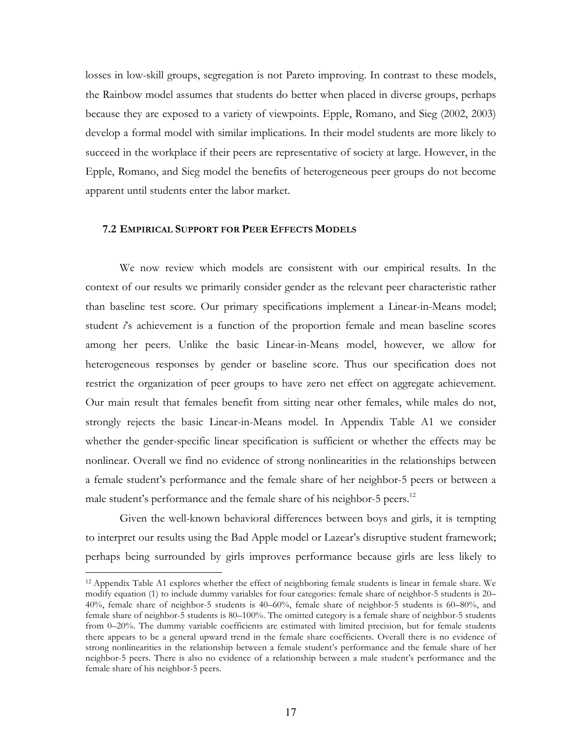losses in low-skill groups, segregation is not Pareto improving. In contrast to these models, the Rainbow model assumes that students do better when placed in diverse groups, perhaps because they are exposed to a variety of viewpoints. Epple, Romano, and Sieg (2002, 2003) develop a formal model with similar implications. In their model students are more likely to succeed in the workplace if their peers are representative of society at large. However, in the Epple, Romano, and Sieg model the benefits of heterogeneous peer groups do not become apparent until students enter the labor market.

### **7.2 EMPIRICAL SUPPORT FOR PEER EFFECTS MODELS**

We now review which models are consistent with our empirical results. In the context of our results we primarily consider gender as the relevant peer characteristic rather than baseline test score. Our primary specifications implement a Linear-in-Means model; student *i*'s achievement is a function of the proportion female and mean baseline scores among her peers. Unlike the basic Linear-in-Means model, however, we allow for heterogeneous responses by gender or baseline score. Thus our specification does not restrict the organization of peer groups to have zero net effect on aggregate achievement. Our main result that females benefit from sitting near other females, while males do not, strongly rejects the basic Linear-in-Means model. In Appendix Table A1 we consider whether the gender-specific linear specification is sufficient or whether the effects may be nonlinear. Overall we find no evidence of strong nonlinearities in the relationships between a female student's performance and the female share of her neighbor-5 peers or between a male student's performance and the female share of his neighbor-5 peers.<sup>12</sup>

Given the well-known behavioral differences between boys and girls, it is tempting to interpret our results using the Bad Apple model or Lazear's disruptive student framework; perhaps being surrounded by girls improves performance because girls are less likely to

 <sup>12</sup> Appendix Table A1 explores whether the effect of neighboring female students is linear in female share. We modify equation (1) to include dummy variables for four categories: female share of neighbor-5 students is 20– 40%, female share of neighbor-5 students is 40–60%, female share of neighbor-5 students is 60–80%, and female share of neighbor-5 students is 80–100%. The omitted category is a female share of neighbor-5 students from 0–20%. The dummy variable coefficients are estimated with limited precision, but for female students there appears to be a general upward trend in the female share coefficients. Overall there is no evidence of strong nonlinearities in the relationship between a female student's performance and the female share of her neighbor-5 peers. There is also no evidence of a relationship between a male student's performance and the female share of his neighbor-5 peers.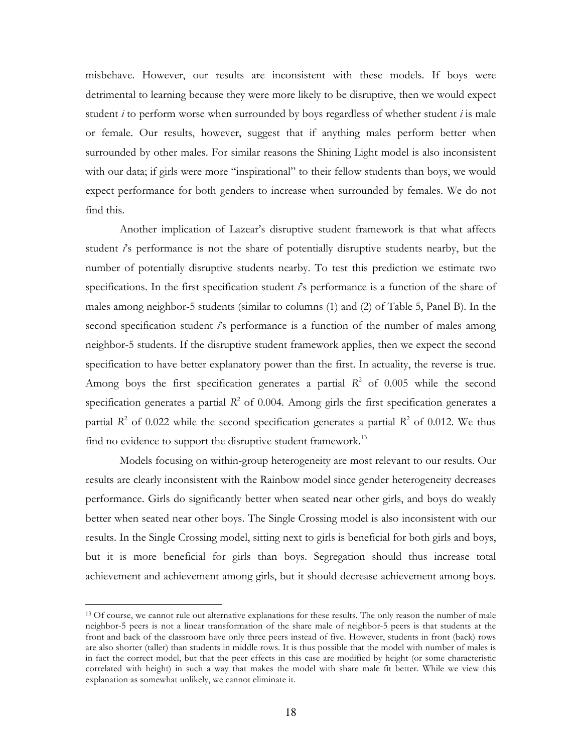misbehave. However, our results are inconsistent with these models. If boys were detrimental to learning because they were more likely to be disruptive, then we would expect student  $i$  to perform worse when surrounded by boys regardless of whether student  $i$  is male or female. Our results, however, suggest that if anything males perform better when surrounded by other males. For similar reasons the Shining Light model is also inconsistent with our data; if girls were more "inspirational" to their fellow students than boys, we would expect performance for both genders to increase when surrounded by females. We do not find this.

Another implication of Lazear's disruptive student framework is that what affects student *i*'s performance is not the share of potentially disruptive students nearby, but the number of potentially disruptive students nearby. To test this prediction we estimate two specifications. In the first specification student *i*'s performance is a function of the share of males among neighbor-5 students (similar to columns (1) and (2) of Table 5, Panel B). In the second specification student *i*'s performance is a function of the number of males among neighbor-5 students. If the disruptive student framework applies, then we expect the second specification to have better explanatory power than the first. In actuality, the reverse is true. Among boys the first specification generates a partial  $R^2$  of 0.005 while the second specification generates a partial  $R^2$  of 0.004. Among girls the first specification generates a partial  $R^2$  of 0.022 while the second specification generates a partial  $R^2$  of 0.012. We thus find no evidence to support the disruptive student framework.<sup>13</sup>

Models focusing on within-group heterogeneity are most relevant to our results. Our results are clearly inconsistent with the Rainbow model since gender heterogeneity decreases performance. Girls do significantly better when seated near other girls, and boys do weakly better when seated near other boys. The Single Crossing model is also inconsistent with our results. In the Single Crossing model, sitting next to girls is beneficial for both girls and boys, but it is more beneficial for girls than boys. Segregation should thus increase total achievement and achievement among girls, but it should decrease achievement among boys.

<sup>&</sup>lt;sup>13</sup> Of course, we cannot rule out alternative explanations for these results. The only reason the number of male neighbor-5 peers is not a linear transformation of the share male of neighbor-5 peers is that students at the front and back of the classroom have only three peers instead of five. However, students in front (back) rows are also shorter (taller) than students in middle rows. It is thus possible that the model with number of males is in fact the correct model, but that the peer effects in this case are modified by height (or some characteristic correlated with height) in such a way that makes the model with share male fit better. While we view this explanation as somewhat unlikely, we cannot eliminate it.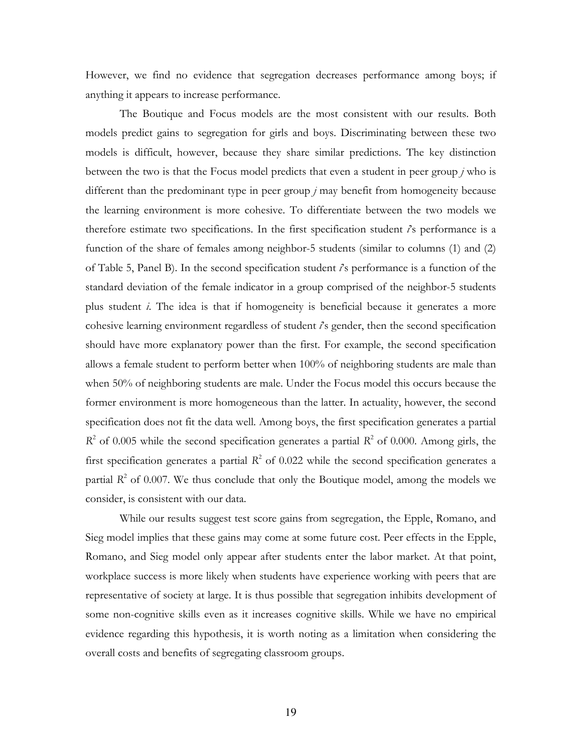However, we find no evidence that segregation decreases performance among boys; if anything it appears to increase performance.

The Boutique and Focus models are the most consistent with our results. Both models predict gains to segregation for girls and boys. Discriminating between these two models is difficult, however, because they share similar predictions. The key distinction between the two is that the Focus model predicts that even a student in peer group *j* who is different than the predominant type in peer group *j* may benefit from homogeneity because the learning environment is more cohesive. To differentiate between the two models we therefore estimate two specifications. In the first specification student *i*'s performance is a function of the share of females among neighbor-5 students (similar to columns (1) and (2) of Table 5, Panel B). In the second specification student *i*'s performance is a function of the standard deviation of the female indicator in a group comprised of the neighbor-5 students plus student *i*. The idea is that if homogeneity is beneficial because it generates a more cohesive learning environment regardless of student *i*'s gender, then the second specification should have more explanatory power than the first. For example, the second specification allows a female student to perform better when 100% of neighboring students are male than when 50% of neighboring students are male. Under the Focus model this occurs because the former environment is more homogeneous than the latter. In actuality, however, the second specification does not fit the data well. Among boys, the first specification generates a partial  $R^2$  of 0.005 while the second specification generates a partial  $R^2$  of 0.000. Among girls, the first specification generates a partial  $R^2$  of 0.022 while the second specification generates a partial  $R^2$  of 0.007. We thus conclude that only the Boutique model, among the models we consider, is consistent with our data.

While our results suggest test score gains from segregation, the Epple, Romano, and Sieg model implies that these gains may come at some future cost. Peer effects in the Epple, Romano, and Sieg model only appear after students enter the labor market. At that point, workplace success is more likely when students have experience working with peers that are representative of society at large. It is thus possible that segregation inhibits development of some non-cognitive skills even as it increases cognitive skills. While we have no empirical evidence regarding this hypothesis, it is worth noting as a limitation when considering the overall costs and benefits of segregating classroom groups.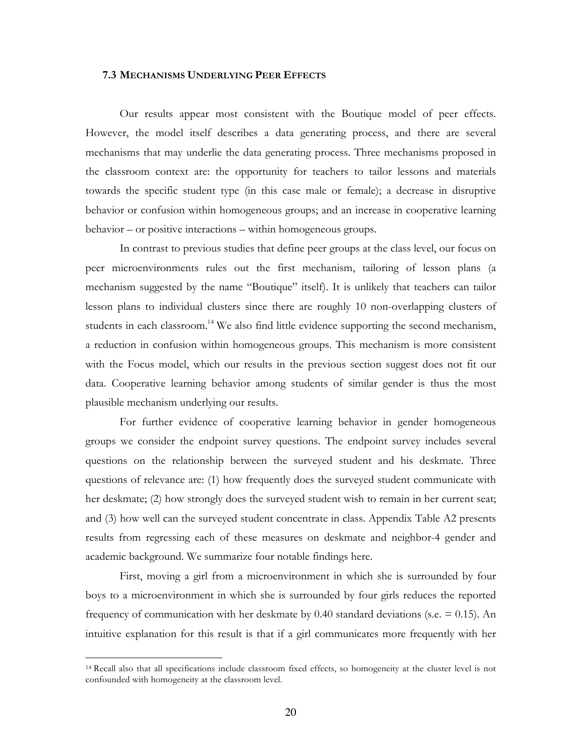### **7.3 MECHANISMS UNDERLYING PEER EFFECTS**

Our results appear most consistent with the Boutique model of peer effects. However, the model itself describes a data generating process, and there are several mechanisms that may underlie the data generating process. Three mechanisms proposed in the classroom context are: the opportunity for teachers to tailor lessons and materials towards the specific student type (in this case male or female); a decrease in disruptive behavior or confusion within homogeneous groups; and an increase in cooperative learning behavior – or positive interactions – within homogeneous groups.

In contrast to previous studies that define peer groups at the class level, our focus on peer microenvironments rules out the first mechanism, tailoring of lesson plans (a mechanism suggested by the name "Boutique" itself). It is unlikely that teachers can tailor lesson plans to individual clusters since there are roughly 10 non-overlapping clusters of students in each classroom.<sup>14</sup> We also find little evidence supporting the second mechanism, a reduction in confusion within homogeneous groups. This mechanism is more consistent with the Focus model, which our results in the previous section suggest does not fit our data. Cooperative learning behavior among students of similar gender is thus the most plausible mechanism underlying our results.

For further evidence of cooperative learning behavior in gender homogeneous groups we consider the endpoint survey questions. The endpoint survey includes several questions on the relationship between the surveyed student and his deskmate. Three questions of relevance are: (1) how frequently does the surveyed student communicate with her deskmate; (2) how strongly does the surveyed student wish to remain in her current seat; and (3) how well can the surveyed student concentrate in class. Appendix Table A2 presents results from regressing each of these measures on deskmate and neighbor-4 gender and academic background. We summarize four notable findings here.

First, moving a girl from a microenvironment in which she is surrounded by four boys to a microenvironment in which she is surrounded by four girls reduces the reported frequency of communication with her deskmate by 0.40 standard deviations (s.e.  $= 0.15$ ). An intuitive explanation for this result is that if a girl communicates more frequently with her

 <sup>14</sup> Recall also that all specifications include classroom fixed effects, so homogeneity at the cluster level is not confounded with homogeneity at the classroom level.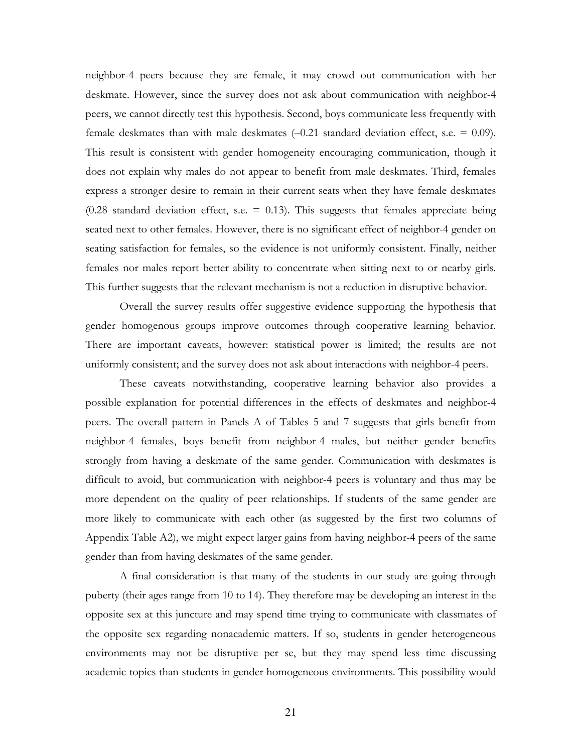neighbor-4 peers because they are female, it may crowd out communication with her deskmate. However, since the survey does not ask about communication with neighbor-4 peers, we cannot directly test this hypothesis. Second, boys communicate less frequently with female deskmates than with male deskmates  $(-0.21$  standard deviation effect, s.e. = 0.09). This result is consistent with gender homogeneity encouraging communication, though it does not explain why males do not appear to benefit from male deskmates. Third, females express a stronger desire to remain in their current seats when they have female deskmates  $(0.28$  standard deviation effect, s.e. = 0.13). This suggests that females appreciate being seated next to other females. However, there is no significant effect of neighbor-4 gender on seating satisfaction for females, so the evidence is not uniformly consistent. Finally, neither females nor males report better ability to concentrate when sitting next to or nearby girls. This further suggests that the relevant mechanism is not a reduction in disruptive behavior.

Overall the survey results offer suggestive evidence supporting the hypothesis that gender homogenous groups improve outcomes through cooperative learning behavior. There are important caveats, however: statistical power is limited; the results are not uniformly consistent; and the survey does not ask about interactions with neighbor-4 peers.

These caveats notwithstanding, cooperative learning behavior also provides a possible explanation for potential differences in the effects of deskmates and neighbor-4 peers. The overall pattern in Panels A of Tables 5 and 7 suggests that girls benefit from neighbor-4 females, boys benefit from neighbor-4 males, but neither gender benefits strongly from having a deskmate of the same gender. Communication with deskmates is difficult to avoid, but communication with neighbor-4 peers is voluntary and thus may be more dependent on the quality of peer relationships. If students of the same gender are more likely to communicate with each other (as suggested by the first two columns of Appendix Table A2), we might expect larger gains from having neighbor-4 peers of the same gender than from having deskmates of the same gender.

A final consideration is that many of the students in our study are going through puberty (their ages range from 10 to 14). They therefore may be developing an interest in the opposite sex at this juncture and may spend time trying to communicate with classmates of the opposite sex regarding nonacademic matters. If so, students in gender heterogeneous environments may not be disruptive per se, but they may spend less time discussing academic topics than students in gender homogeneous environments. This possibility would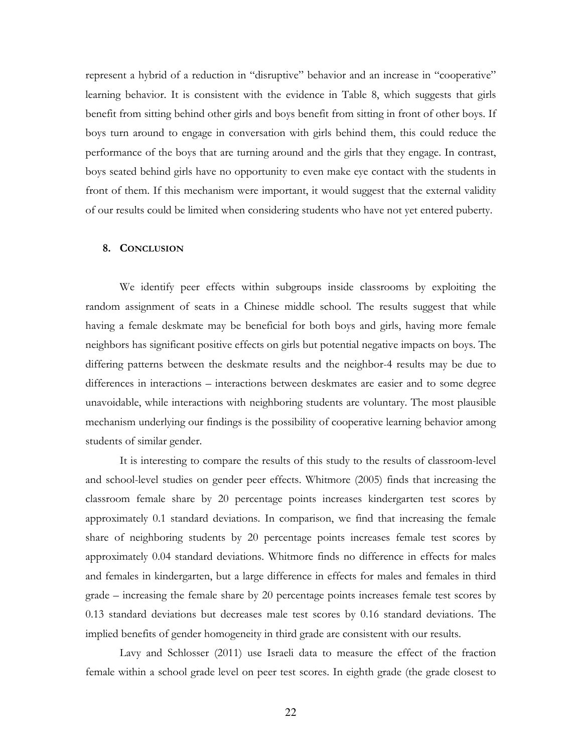represent a hybrid of a reduction in "disruptive" behavior and an increase in "cooperative" learning behavior. It is consistent with the evidence in Table 8, which suggests that girls benefit from sitting behind other girls and boys benefit from sitting in front of other boys. If boys turn around to engage in conversation with girls behind them, this could reduce the performance of the boys that are turning around and the girls that they engage. In contrast, boys seated behind girls have no opportunity to even make eye contact with the students in front of them. If this mechanism were important, it would suggest that the external validity of our results could be limited when considering students who have not yet entered puberty.

### **8. CONCLUSION**

We identify peer effects within subgroups inside classrooms by exploiting the random assignment of seats in a Chinese middle school. The results suggest that while having a female deskmate may be beneficial for both boys and girls, having more female neighbors has significant positive effects on girls but potential negative impacts on boys. The differing patterns between the deskmate results and the neighbor-4 results may be due to differences in interactions – interactions between deskmates are easier and to some degree unavoidable, while interactions with neighboring students are voluntary. The most plausible mechanism underlying our findings is the possibility of cooperative learning behavior among students of similar gender.

It is interesting to compare the results of this study to the results of classroom-level and school-level studies on gender peer effects. Whitmore (2005) finds that increasing the classroom female share by 20 percentage points increases kindergarten test scores by approximately 0.1 standard deviations. In comparison, we find that increasing the female share of neighboring students by 20 percentage points increases female test scores by approximately 0.04 standard deviations. Whitmore finds no difference in effects for males and females in kindergarten, but a large difference in effects for males and females in third grade – increasing the female share by 20 percentage points increases female test scores by 0.13 standard deviations but decreases male test scores by 0.16 standard deviations. The implied benefits of gender homogeneity in third grade are consistent with our results.

Lavy and Schlosser (2011) use Israeli data to measure the effect of the fraction female within a school grade level on peer test scores. In eighth grade (the grade closest to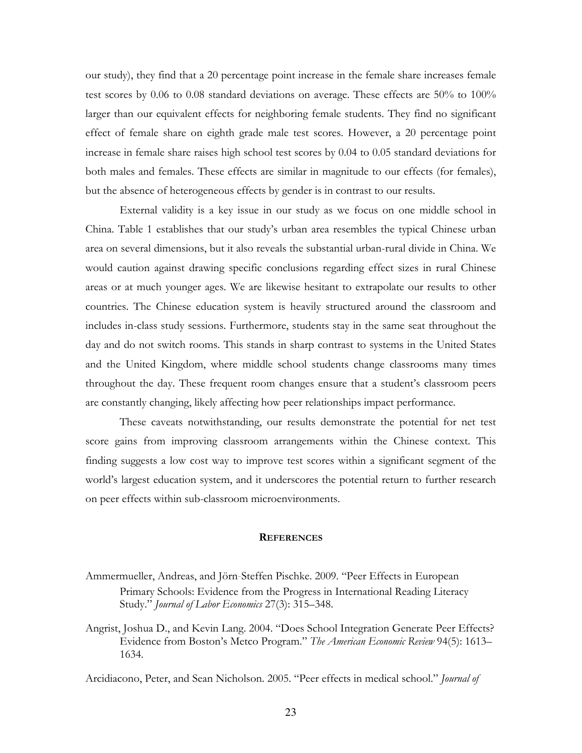our study), they find that a 20 percentage point increase in the female share increases female test scores by 0.06 to 0.08 standard deviations on average. These effects are 50% to 100% larger than our equivalent effects for neighboring female students. They find no significant effect of female share on eighth grade male test scores. However, a 20 percentage point increase in female share raises high school test scores by 0.04 to 0.05 standard deviations for both males and females. These effects are similar in magnitude to our effects (for females), but the absence of heterogeneous effects by gender is in contrast to our results.

External validity is a key issue in our study as we focus on one middle school in China. Table 1 establishes that our study's urban area resembles the typical Chinese urban area on several dimensions, but it also reveals the substantial urban-rural divide in China. We would caution against drawing specific conclusions regarding effect sizes in rural Chinese areas or at much younger ages. We are likewise hesitant to extrapolate our results to other countries. The Chinese education system is heavily structured around the classroom and includes in-class study sessions. Furthermore, students stay in the same seat throughout the day and do not switch rooms. This stands in sharp contrast to systems in the United States and the United Kingdom, where middle school students change classrooms many times throughout the day. These frequent room changes ensure that a student's classroom peers are constantly changing, likely affecting how peer relationships impact performance.

These caveats notwithstanding, our results demonstrate the potential for net test score gains from improving classroom arrangements within the Chinese context. This finding suggests a low cost way to improve test scores within a significant segment of the world's largest education system, and it underscores the potential return to further research on peer effects within sub-classroom microenvironments.

#### **REFERENCES**

- Ammermueller, Andreas, and Jörn‐Steffen Pischke. 2009. "Peer Effects in European Primary Schools: Evidence from the Progress in International Reading Literacy Study." *Journal of Labor Economics* 27(3): 315–348.
- Angrist, Joshua D., and Kevin Lang. 2004. "Does School Integration Generate Peer Effects? Evidence from Boston's Metco Program." *The American Economic Review* 94(5): 1613– 1634.

Arcidiacono, Peter, and Sean Nicholson. 2005. "Peer effects in medical school." *Journal of*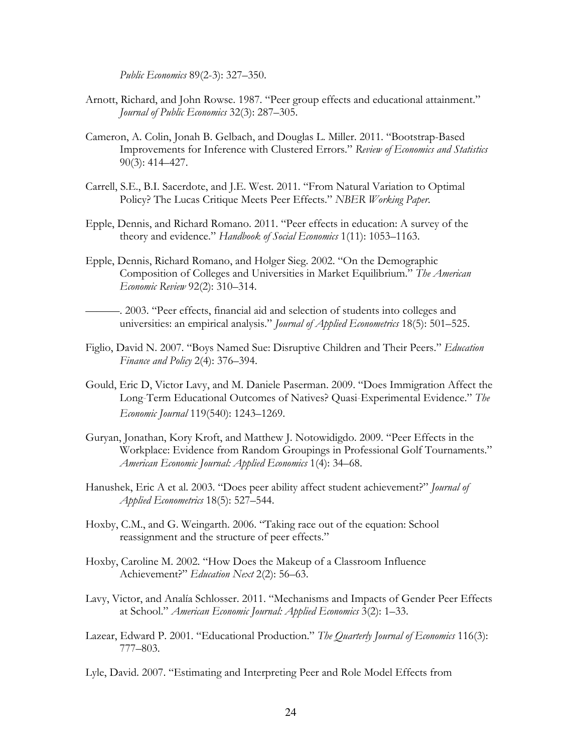*Public Economics* 89(2-3): 327–350.

- Arnott, Richard, and John Rowse. 1987. "Peer group effects and educational attainment." *Journal of Public Economics* 32(3): 287–305.
- Cameron, A. Colin, Jonah B. Gelbach, and Douglas L. Miller. 2011. "Bootstrap-Based Improvements for Inference with Clustered Errors." *Review of Economics and Statistics* 90(3): 414–427.
- Carrell, S.E., B.I. Sacerdote, and J.E. West. 2011. "From Natural Variation to Optimal Policy? The Lucas Critique Meets Peer Effects." *NBER Working Paper*.
- Epple, Dennis, and Richard Romano. 2011. "Peer effects in education: A survey of the theory and evidence." *Handbook of Social Economics* 1(11): 1053–1163.
- Epple, Dennis, Richard Romano, and Holger Sieg. 2002. "On the Demographic Composition of Colleges and Universities in Market Equilibrium." *The American Economic Review* 92(2): 310–314.
- ———. 2003. "Peer effects, financial aid and selection of students into colleges and universities: an empirical analysis." *Journal of Applied Econometrics* 18(5): 501–525.
- Figlio, David N. 2007. "Boys Named Sue: Disruptive Children and Their Peers." *Education Finance and Policy* 2(4): 376–394.
- Gould, Eric D, Victor Lavy, and M. Daniele Paserman. 2009. "Does Immigration Affect the Long‐Term Educational Outcomes of Natives? Quasi‐Experimental Evidence." *The Economic Journal* 119(540): 1243–1269.
- Guryan, Jonathan, Kory Kroft, and Matthew J. Notowidigdo. 2009. "Peer Effects in the Workplace: Evidence from Random Groupings in Professional Golf Tournaments." *American Economic Journal: Applied Economics* 1(4): 34–68.
- Hanushek, Eric A et al. 2003. "Does peer ability affect student achievement?" *Journal of Applied Econometrics* 18(5): 527–544.
- Hoxby, C.M., and G. Weingarth. 2006. "Taking race out of the equation: School reassignment and the structure of peer effects."
- Hoxby, Caroline M. 2002. "How Does the Makeup of a Classroom Influence Achievement?" *Education Next* 2(2): 56–63.
- Lavy, Victor, and Analía Schlosser. 2011. "Mechanisms and Impacts of Gender Peer Effects at School." *American Economic Journal: Applied Economics* 3(2): 1–33.
- Lazear, Edward P. 2001. "Educational Production." *The Quarterly Journal of Economics* 116(3): 777–803.
- Lyle, David. 2007. "Estimating and Interpreting Peer and Role Model Effects from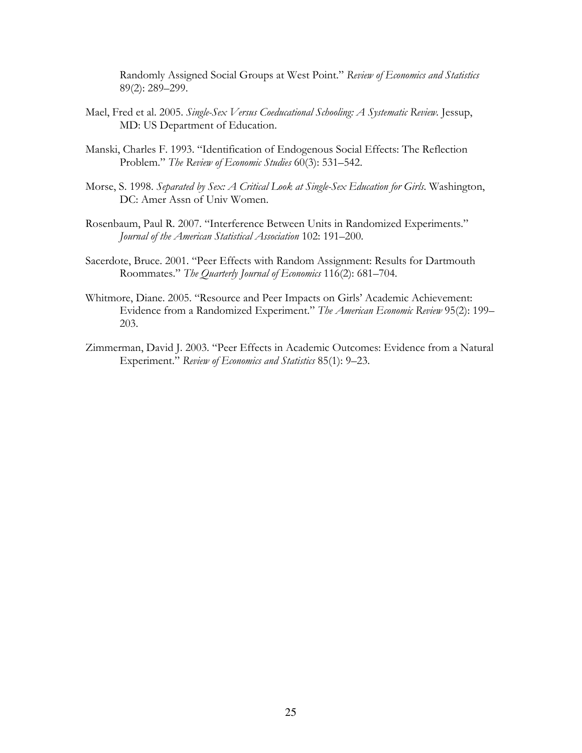Randomly Assigned Social Groups at West Point." *Review of Economics and Statistics* 89(2): 289–299.

- Mael, Fred et al. 2005. *Single-Sex Versus Coeducational Schooling: A Systematic Review.* Jessup, MD: US Department of Education.
- Manski, Charles F. 1993. "Identification of Endogenous Social Effects: The Reflection Problem." *The Review of Economic Studies* 60(3): 531–542.
- Morse, S. 1998. *Separated by Sex: A Critical Look at Single-Sex Education for Girls*. Washington, DC: Amer Assn of Univ Women.
- Rosenbaum, Paul R. 2007. "Interference Between Units in Randomized Experiments." *Journal of the American Statistical Association* 102: 191–200.
- Sacerdote, Bruce. 2001. "Peer Effects with Random Assignment: Results for Dartmouth Roommates." *The Quarterly Journal of Economics* 116(2): 681–704.
- Whitmore, Diane. 2005. "Resource and Peer Impacts on Girls' Academic Achievement: Evidence from a Randomized Experiment." *The American Economic Review* 95(2): 199– 203.
- Zimmerman, David J. 2003. "Peer Effects in Academic Outcomes: Evidence from a Natural Experiment." *Review of Economics and Statistics* 85(1): 9–23.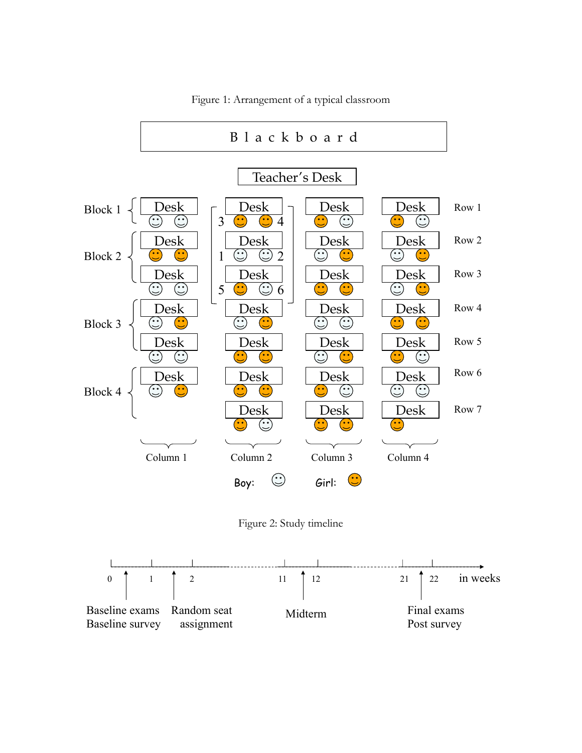

Figure 1: Arrangement of a typical classroom

Figure 2: Study timeline

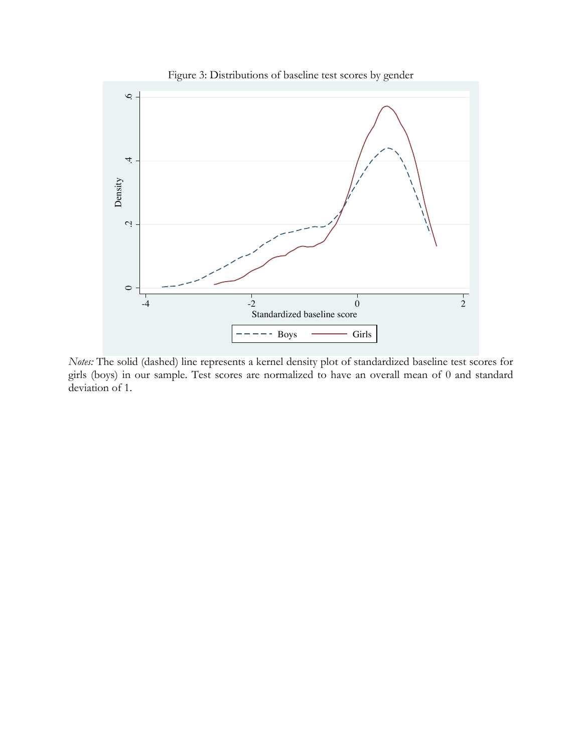

*Notes:* The solid (dashed) line represents a kernel density plot of standardized baseline test scores for girls (boys) in our sample. Test scores are normalized to have an overall mean of 0 and standard

deviation of 1.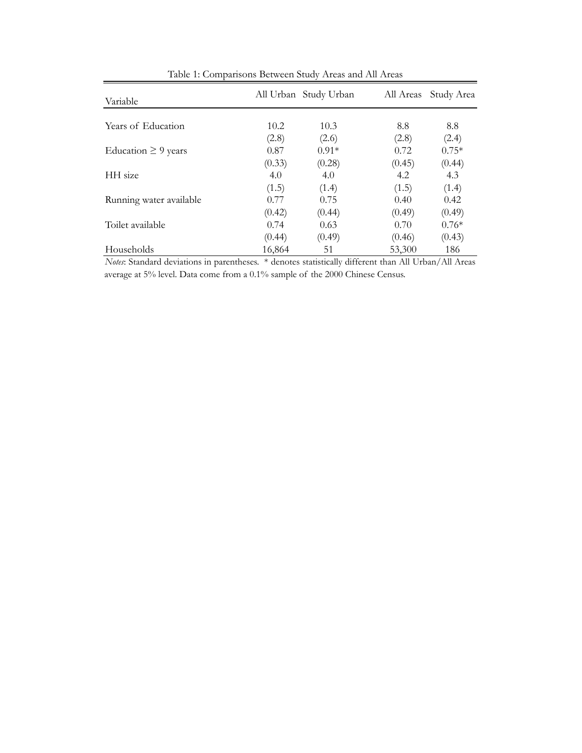| Variable                 |        | All Urban Study Urban | All Areas | Study Area |
|--------------------------|--------|-----------------------|-----------|------------|
|                          |        |                       |           |            |
| Years of Education       | 10.2   | 10.3                  | 8.8       | 8.8        |
|                          | (2.8)  | (2.6)                 | (2.8)     | (2.4)      |
| Education $\geq$ 9 years | 0.87   | $0.91*$               | 0.72      | $0.75*$    |
|                          | (0.33) | (0.28)                | (0.45)    | (0.44)     |
| HH size                  | 4.0    | 4.0                   | 4.2       | 4.3        |
|                          | (1.5)  | (1.4)                 | (1.5)     | (1.4)      |
| Running water available  | 0.77   | 0.75                  | 0.40      | 0.42       |
|                          | (0.42) | (0.44)                | (0.49)    | (0.49)     |
| Toilet available         | 0.74   | 0.63                  | 0.70      | $0.76*$    |
|                          | (0.44) | (0.49)                | (0.46)    | (0.43)     |
| Households               | 16,864 | 51                    | 53,300    | 186        |

Table 1: Comparisons Between Study Areas and All Areas

*Notes*: Standard deviations in parentheses. \* denotes statistically different than All Urban/All Areas average at 5% level. Data come from a 0.1% sample of the 2000 Chinese Census.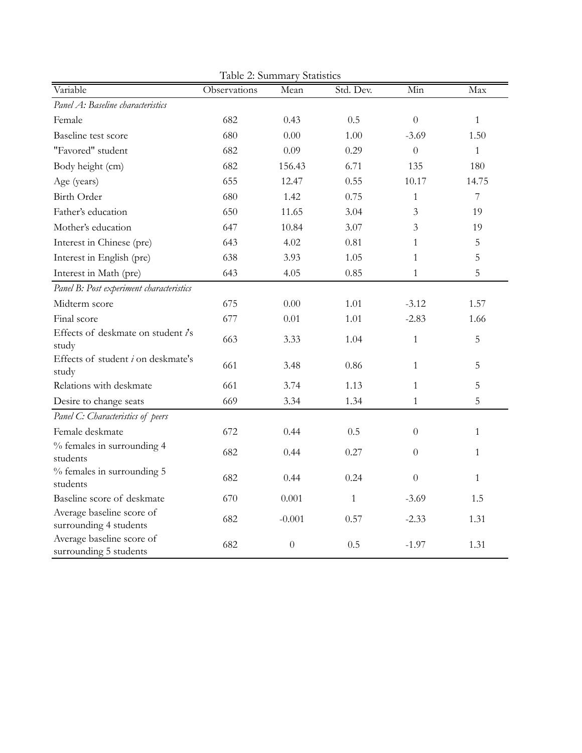| Table 2: Summary Statistics                         |              |          |              |                  |                |  |  |
|-----------------------------------------------------|--------------|----------|--------------|------------------|----------------|--|--|
| Variable                                            | Observations | Mean     | Std. Dev.    | Min              | Max            |  |  |
| Panel A: Baseline characteristics                   |              |          |              |                  |                |  |  |
| Female                                              | 682          | 0.43     | 0.5          | $\Omega$         | $\mathbf{1}$   |  |  |
| Baseline test score                                 | 680          | 0.00     | 1.00         | $-3.69$          | 1.50           |  |  |
| "Favored" student                                   | 682          | 0.09     | 0.29         | $\Omega$         | $\mathbf{1}$   |  |  |
| Body height (cm)                                    | 682          | 156.43   | 6.71         | 135              | 180            |  |  |
| Age (years)                                         | 655          | 12.47    | 0.55         | 10.17            | 14.75          |  |  |
| <b>Birth Order</b>                                  | 680          | 1.42     | 0.75         | $\mathbf{1}$     | $\overline{7}$ |  |  |
| Father's education                                  | 650          | 11.65    | 3.04         | 3                | 19             |  |  |
| Mother's education                                  | 647          | 10.84    | 3.07         | 3                | 19             |  |  |
| Interest in Chinese (pre)                           | 643          | 4.02     | 0.81         | $\mathbf{1}$     | 5              |  |  |
| Interest in English (pre)                           | 638          | 3.93     | 1.05         | $\mathbf{1}$     | 5              |  |  |
| Interest in Math (pre)                              | 643          | 4.05     | 0.85         | $\mathbf{1}$     | 5              |  |  |
| Panel B: Post experiment characteristics            |              |          |              |                  |                |  |  |
| Midterm score                                       | 675          | 0.00     | 1.01         | $-3.12$          | 1.57           |  |  |
| Final score                                         | 677          | 0.01     | 1.01         | $-2.83$          | 1.66           |  |  |
| Effects of deskmate on student i's<br>study         | 663          | 3.33     | 1.04         | $\mathbf{1}$     | 5              |  |  |
| Effects of student <i>i</i> on deskmate's<br>study  | 661          | 3.48     | 0.86         | $\mathbf{1}$     | 5              |  |  |
| Relations with deskmate                             | 661          | 3.74     | 1.13         | 1                | 5              |  |  |
| Desire to change seats                              | 669          | 3.34     | 1.34         | $\mathbf{1}$     | 5              |  |  |
| Panel C: Characteristics of peers                   |              |          |              |                  |                |  |  |
| Female deskmate                                     | 672          | 0.44     | 0.5          | $\Omega$         | $\mathbf{1}$   |  |  |
| % females in surrounding 4<br>students              | 682          | 0.44     | 0.27         | $\theta$         | $\mathbf{1}$   |  |  |
| % females in surrounding 5<br>students              | 682          | 0.44     | 0.24         | $\boldsymbol{0}$ | $\mathbf{1}$   |  |  |
| Baseline score of deskmate                          | 670          | 0.001    | $\mathbf{1}$ | $-3.69$          | 1.5            |  |  |
| Average baseline score of<br>surrounding 4 students | 682          | $-0.001$ | 0.57         | $-2.33$          | 1.31           |  |  |
| Average baseline score of<br>surrounding 5 students | 682          | $\theta$ | 0.5          | $-1.97$          | 1.31           |  |  |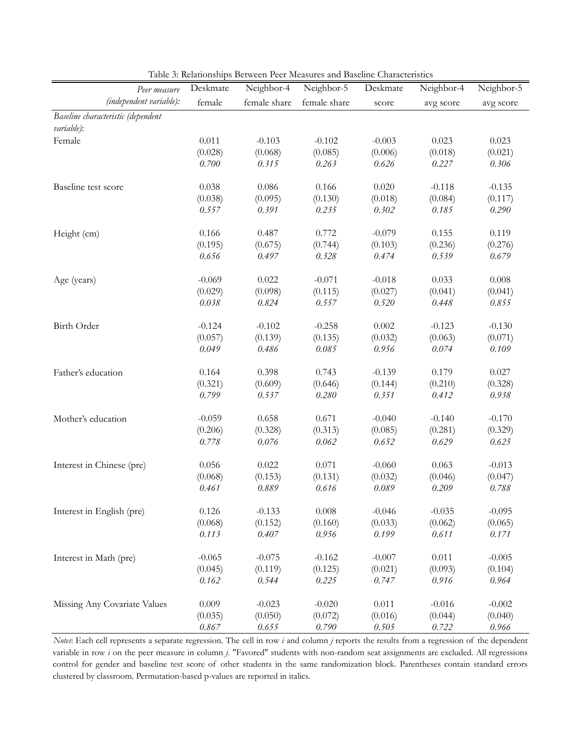| Peer measure                       | Deskmate         | Neighbor-4       | Neighbor-5           | Deskmate         | Neighbor-4       | Neighbor-5           |
|------------------------------------|------------------|------------------|----------------------|------------------|------------------|----------------------|
| (independent variable):            | female           | female share     | female share         | score            | avg score        | avg score            |
| Baseline characteristic (dependent |                  |                  |                      |                  |                  |                      |
| variable):                         |                  |                  |                      |                  |                  |                      |
| Female                             | 0.011            | $-0.103$         | $-0.102$             | $-0.003$         | 0.023            | 0.023                |
|                                    | (0.028)          | (0.068)          | (0.085)              | (0.006)          | (0.018)          | (0.021)              |
|                                    | 0.700            | 0.315            | 0.263                | 0.626            | 0.227            | 0.306                |
| Baseline test score                | 0.038            | 0.086            | 0.166                | 0.020            | $-0.118$         | $-0.135$             |
|                                    | (0.038)          | (0.095)          | (0.130)              | (0.018)          | (0.084)          | (0.117)              |
|                                    | 0.557            | 0.391            | 0.235                | 0.302            | 0.185            | 0.290                |
| Height (cm)                        | 0.166            | 0.487            | 0.772                | $-0.079$         | 0.155            | 0.119                |
|                                    | (0.195)          | (0.675)          | (0.744)              | (0.103)          | (0.236)          | (0.276)              |
|                                    | 0.656            | 0.497            | 0.328                | 0.474            | 0.539            | 0.679                |
| Age (years)                        | $-0.069$         | 0.022            | $-0.071$             | $-0.018$         | 0.033            | 0.008                |
|                                    | (0.029)          | (0.098)          | (0.115)              | (0.027)          | (0.041)          | (0.041)              |
|                                    | 0.038            | 0.824            | 0.557                | 0.520            | 0.448            | 0.855                |
| Birth Order                        | $-0.124$         | $-0.102$         | $-0.258$             | 0.002            | $-0.123$         | $-0.130$             |
|                                    | (0.057)          | (0.139)          | (0.135)              | (0.032)          | (0.063)          | (0.071)              |
|                                    | 0.049            | 0.486            | 0.085                | 0.956            | 0.074            | 0.109                |
| Father's education                 | 0.164            | 0.398            | 0.743                | $-0.139$         | 0.179            | 0.027                |
|                                    | (0.321)          | (0.609)          | (0.646)              | (0.144)          | (0.210)          | (0.328)              |
|                                    | 0.799            | 0.537            | 0.280                | 0.351            | 0.412            | 0.938                |
| Mother's education                 | $-0.059$         | 0.658            | 0.671                | $-0.040$         | $-0.140$         | $-0.170$             |
|                                    | (0.206)          | (0.328)          | (0.313)              | (0.085)          | (0.281)          | (0.329)              |
|                                    | 0.778            | 0.076            | 0.062                | 0.652            | 0.629            | 0.625                |
| Interest in Chinese (pre)          | 0.056            | 0.022            | 0.071                | $-0.060$         | 0.063            | $-0.013$             |
|                                    | (0.068)          | (0.153)          | (0.131)              | (0.032)          | (0.046)          | (0.047)              |
|                                    | 0.461            | 0.889            | 0.616                | 0.089            | 0.209            | 0.788                |
| Interest in English (pre)          | 0.126            | $-0.133$         | 0.008                | $-0.046$         | $-0.035$         | $-0.095$             |
|                                    | (0.068)          | (0.152)          | (0.160)              | (0.033)          | (0.062)          | (0.065)              |
|                                    | 0.113            | 0.407            | 0.956                | 0.199            | 0.611            | 0.171                |
| Interest in Math (pre)             | $-0.065$         | $-0.075$         | $-0.162$             | $-0.007$         | 0.011            | $-0.005$             |
|                                    |                  |                  |                      |                  |                  |                      |
|                                    | (0.045)<br>0.162 | (0.119)<br>0.544 | (0.125)<br>0.225     | (0.021)<br>0.747 | (0.093)<br>0.916 | (0.104)<br>0.964     |
|                                    |                  |                  |                      |                  |                  |                      |
| Missing Any Covariate Values       | 0.009            | $-0.023$         | $-0.020$             | 0.011            | $-0.016$         | $-0.002$             |
|                                    | (0.035)<br>0.867 | (0.050)<br>0.655 | (0.072)<br>$0.790\,$ | (0.016)<br>0.505 | (0.044)<br>0.722 | (0.040)<br>$0.966\,$ |
|                                    |                  |                  |                      |                  |                  |                      |

Table 3: Relationships Between Peer Measures and Baseline Characteristics

*Notes*: Each cell represents a separate regression. The cell in row *i* and column *j* reports the results from a regression of the dependent variable in row *i* on the peer measure in column *j*. "Favored" students with non-random seat assignments are excluded. All regressions control for gender and baseline test score of other students in the same randomization block. Parentheses contain standard errors clustered by classroom. Permutation-based p-values are reported in italics.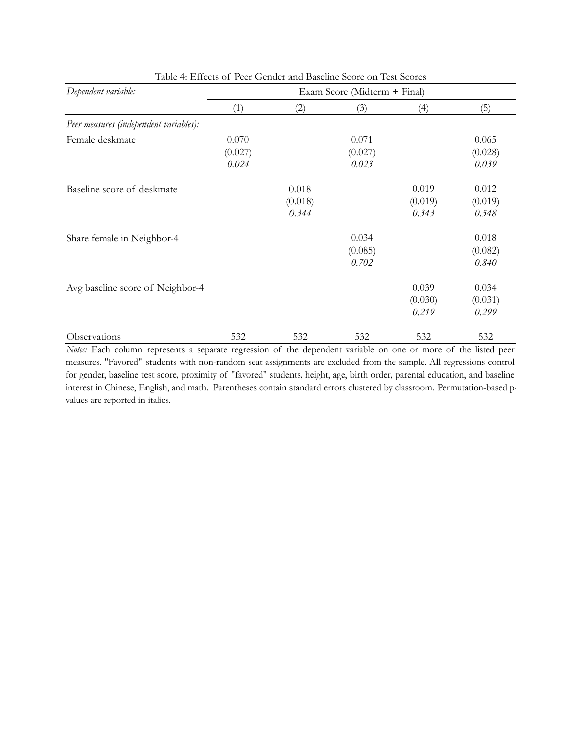| Dependent variable:                    | Exam Score (Midterm + Final) |         |         |         |         |  |
|----------------------------------------|------------------------------|---------|---------|---------|---------|--|
|                                        | (1)                          | (2)     | (3)     | (4)     | (5)     |  |
| Peer measures (independent variables): |                              |         |         |         |         |  |
| Female deskmate                        | 0.070                        |         | 0.071   |         | 0.065   |  |
|                                        | (0.027)                      |         | (0.027) |         | (0.028) |  |
|                                        | 0.024                        |         | 0.023   |         | 0.039   |  |
| Baseline score of deskmate             |                              | 0.018   |         | 0.019   | 0.012   |  |
|                                        |                              | (0.018) |         | (0.019) | (0.019) |  |
|                                        |                              | 0.344   |         | 0.343   | 0.548   |  |
| Share female in Neighbor-4             |                              |         | 0.034   |         | 0.018   |  |
|                                        |                              |         | (0.085) |         | (0.082) |  |
|                                        |                              |         | 0.702   |         | 0.840   |  |
| Avg baseline score of Neighbor-4       |                              |         |         | 0.039   | 0.034   |  |
|                                        |                              |         |         | (0.030) | (0.031) |  |
|                                        |                              |         |         | 0.219   | 0.299   |  |
| Observations                           | 532                          | 532     | 532     | 532     | 532     |  |

Table 4: Effects of Peer Gender and Baseline Score on Test Scores

*Notes:* Each column represents a separate regression of the dependent variable on one or more of the listed peer measures. "Favored" students with non-random seat assignments are excluded from the sample. All regressions control for gender, baseline test score, proximity of "favored" students, height, age, birth order, parental education, and baseline interest in Chinese, English, and math. Parentheses contain standard errors clustered by classroom. Permutation-based pvalues are reported in italics.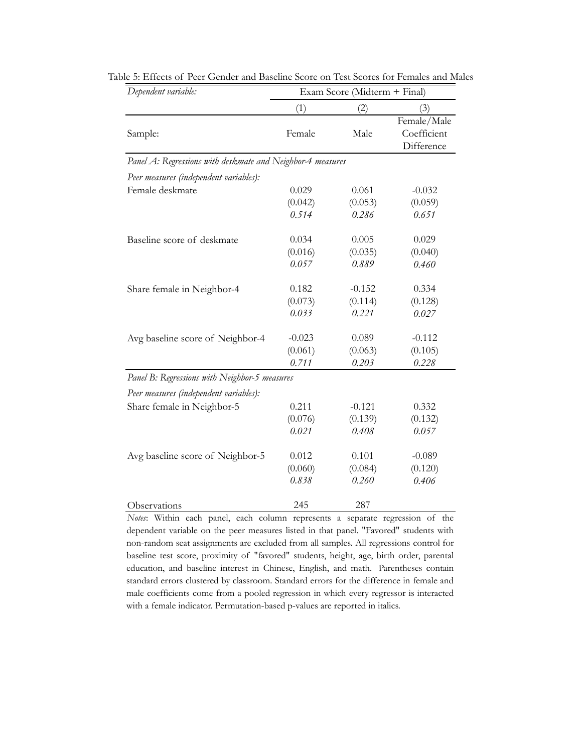| Dependent variable:                                        | Exam Score (Midterm + Final) |          |             |  |
|------------------------------------------------------------|------------------------------|----------|-------------|--|
|                                                            | (1)                          | (2)      | (3)         |  |
|                                                            |                              |          | Female/Male |  |
| Sample:                                                    | Female                       | Male     | Coefficient |  |
|                                                            |                              |          | Difference  |  |
| Panel A: Regressions with deskmate and Neighbor-4 measures |                              |          |             |  |
| Peer measures (independent variables):                     |                              |          |             |  |
| Female deskmate                                            | 0.029                        | 0.061    | $-0.032$    |  |
|                                                            | (0.042)                      | (0.053)  | (0.059)     |  |
|                                                            | 0.514                        | 0.286    | 0.651       |  |
| Baseline score of deskmate                                 | 0.034                        | 0.005    | 0.029       |  |
|                                                            | (0.016)                      | (0.035)  | (0.040)     |  |
|                                                            | 0.057                        | 0.889    | 0.460       |  |
| Share female in Neighbor-4                                 | 0.182                        | $-0.152$ | 0.334       |  |
|                                                            | (0.073)                      | (0.114)  | (0.128)     |  |
|                                                            | 0.033                        | 0.221    | 0.027       |  |
| Avg baseline score of Neighbor-4                           | $-0.023$                     | 0.089    | $-0.112$    |  |
|                                                            | (0.061)                      | (0.063)  | (0.105)     |  |
|                                                            | 0.711                        | 0.203    | 0.228       |  |
| Panel B: Regressions with Neighbor-5 measures              |                              |          |             |  |
| Peer measures (independent variables):                     |                              |          |             |  |
| Share female in Neighbor-5                                 | 0.211                        | $-0.121$ | 0.332       |  |
|                                                            | (0.076)                      | (0.139)  | (0.132)     |  |
|                                                            | 0.021                        | 0.408    | 0.057       |  |
| Avg baseline score of Neighbor-5                           | 0.012                        | 0.101    | $-0.089$    |  |
|                                                            | (0.060)                      | (0.084)  | (0.120)     |  |
|                                                            | 0.838                        | 0.260    | 0.406       |  |
| Observations                                               | 245                          | 287      |             |  |

Table 5: Effects of Peer Gender and Baseline Score on Test Scores for Females and Males

*Notes*: Within each panel, each column represents a separate regression of the dependent variable on the peer measures listed in that panel. "Favored" students with non-random seat assignments are excluded from all samples. All regressions control for baseline test score, proximity of "favored" students, height, age, birth order, parental education, and baseline interest in Chinese, English, and math. Parentheses contain standard errors clustered by classroom. Standard errors for the difference in female and male coefficients come from a pooled regression in which every regressor is interacted with a female indicator. Permutation-based p-values are reported in italics.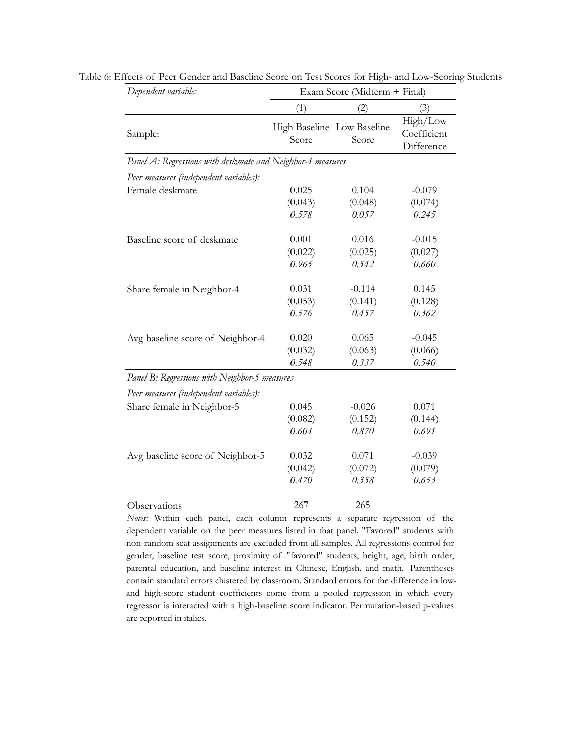| Dependent variable:                                        | Exam Score (Midterm + Final) |                                     |                                       |  |
|------------------------------------------------------------|------------------------------|-------------------------------------|---------------------------------------|--|
|                                                            | (1)                          | (2)                                 | (3)                                   |  |
| Sample:                                                    | Score                        | High Baseline Low Baseline<br>Score | High/Low<br>Coefficient<br>Difference |  |
| Panel A: Regressions with deskmate and Neighbor-4 measures |                              |                                     |                                       |  |
| Peer measures (independent variables):                     |                              |                                     |                                       |  |
| Female deskmate                                            | 0.025<br>(0.043)<br>0.578    | 0.104<br>(0.048)<br>0.057           | $-0.079$<br>(0.074)<br>0.245          |  |
| Baseline score of deskmate                                 | 0.001<br>(0.022)<br>0.965    | 0.016<br>(0.025)<br>0.542           | $-0.015$<br>(0.027)<br>0.660          |  |
| Share female in Neighbor-4                                 | 0.031<br>(0.053)<br>0.576    | $-0.114$<br>(0.141)<br>0.457        | 0.145<br>(0.128)<br>0.362             |  |
| Avg baseline score of Neighbor-4                           | 0.020<br>(0.032)<br>0.548    | 0.065<br>(0.063)<br>0.337           | $-0.045$<br>(0.066)<br>0.540          |  |
| Panel B: Regressions with Neighbor-5 measures              |                              |                                     |                                       |  |
| Peer measures (independent variables):                     |                              |                                     |                                       |  |
| Share female in Neighbor-5                                 | 0.045<br>(0.082)<br>0.604    | $-0.026$<br>(0.152)<br>0.870        | 0.071<br>(0.144)<br>0.691             |  |
| Avg baseline score of Neighbor-5                           | 0.032<br>(0.042)<br>0.470    | 0.071<br>(0.072)<br>0.358           | $-0.039$<br>(0.079)<br>0.653          |  |
| Observations                                               | 267                          | 265                                 |                                       |  |

Table 6: Effects of Peer Gender and Baseline Score on Test Scores for High- and Low-Scoring Students

*Notes:* Within each panel, each column represents a separate regression of the dependent variable on the peer measures listed in that panel. "Favored" students with non-random seat assignments are excluded from all samples. All regressions control for gender, baseline test score, proximity of "favored" students, height, age, birth order, parental education, and baseline interest in Chinese, English, and math. Parentheses contain standard errors clustered by classroom. Standard errors for the difference in lowand high-score student coefficients come from a pooled regression in which every regressor is interacted with a high-baseline score indicator. Permutation-based p-values are reported in italics.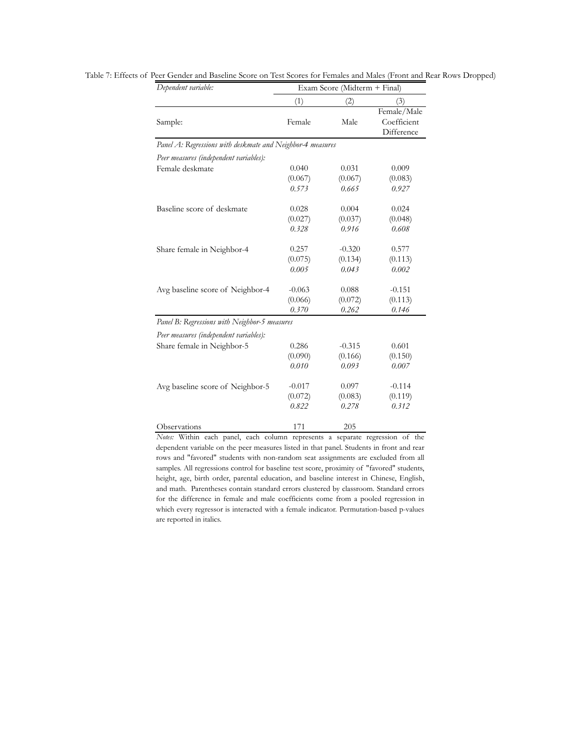| Dependent variable:                                        | Exam Score (Midterm + Final) |          |                                          |  |  |
|------------------------------------------------------------|------------------------------|----------|------------------------------------------|--|--|
|                                                            | (1)                          | (2)      | (3)                                      |  |  |
| Sample:                                                    | Female                       | Male     | Female/Male<br>Coefficient<br>Difference |  |  |
| Panel A: Regressions with deskmate and Neighbor-4 measures |                              |          |                                          |  |  |
| Peer measures (independent variables):                     |                              |          |                                          |  |  |
| Female deskmate                                            | 0.040                        | 0.031    | 0.009                                    |  |  |
|                                                            | (0.067)                      | (0.067)  | (0.083)                                  |  |  |
|                                                            | 0.573                        | 0.665    | 0.927                                    |  |  |
| Baseline score of deskmate                                 | 0.028                        | 0.004    | 0.024                                    |  |  |
|                                                            | (0.027)                      | (0.037)  | (0.048)                                  |  |  |
|                                                            | 0.328                        | 0.916    | 0.608                                    |  |  |
| Share female in Neighbor-4                                 | 0.257                        | $-0.320$ | 0.577                                    |  |  |
|                                                            | (0.075)                      | (0.134)  | (0.113)                                  |  |  |
|                                                            | 0.005                        | 0.043    | 0.002                                    |  |  |
| Avg baseline score of Neighbor-4                           | $-0.063$                     | 0.088    | $-0.151$                                 |  |  |
|                                                            | (0.066)                      | (0.072)  | (0.113)                                  |  |  |
|                                                            | 0.370                        | 0.262    | 0.146                                    |  |  |
| Panel B: Regressions with Neighbor-5 measures              |                              |          |                                          |  |  |
| Peer measures (independent variables):                     |                              |          |                                          |  |  |
| Share female in Neighbor-5                                 | 0.286                        | $-0.315$ | 0.601                                    |  |  |
|                                                            | (0.090)                      | (0.166)  | (0.150)                                  |  |  |
|                                                            | 0.010                        | 0.093    | 0.007                                    |  |  |
| Avg baseline score of Neighbor-5                           | $-0.017$                     | 0.097    | $-0.114$                                 |  |  |
|                                                            | (0.072)                      | (0.083)  | (0.119)                                  |  |  |
|                                                            | 0.822                        | 0.278    | 0.312                                    |  |  |
| Observations                                               | 171                          | 205      |                                          |  |  |

Table 7: Effects of Peer Gender and Baseline Score on Test Scores for Females and Males (Front and Rear Rows Dropped)

*Notes:* Within each panel, each column represents a separate regression of the dependent variable on the peer measures listed in that panel. Students in front and rear rows and "favored" students with non-random seat assignments are excluded from all samples. All regressions control for baseline test score, proximity of "favored" students, height, age, birth order, parental education, and baseline interest in Chinese, English, and math. Parentheses contain standard errors clustered by classroom. Standard errors for the difference in female and male coefficients come from a pooled regression in which every regressor is interacted with a female indicator. Permutation-based p-values are reported in italics.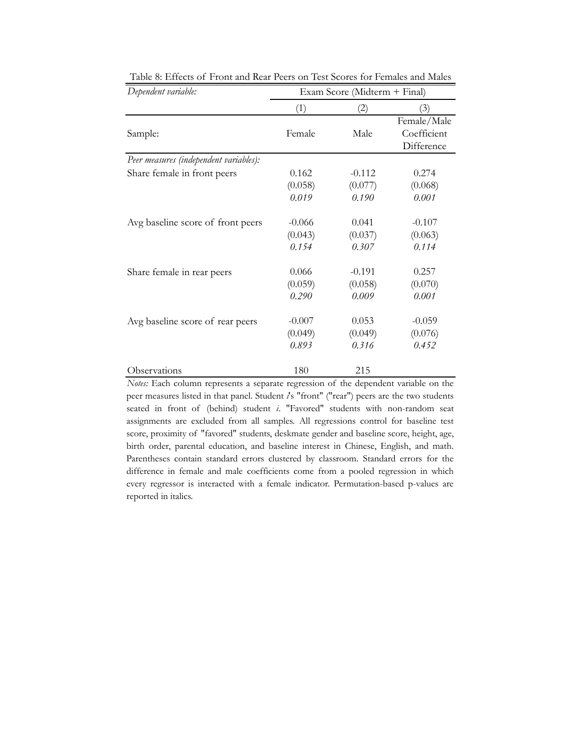| Dependent variable:                    | Exam Score (Midterm + Final) |          |             |  |
|----------------------------------------|------------------------------|----------|-------------|--|
|                                        | (1)                          | (2)      | (3)         |  |
|                                        |                              |          | Female/Male |  |
| Sample:                                | Female                       | Male     | Coefficient |  |
|                                        |                              |          | Difference  |  |
| Peer measures (independent variables): |                              |          |             |  |
| Share female in front peers            | 0.162                        | $-0.112$ | 0.274       |  |
|                                        | (0.058)                      | (0.077)  | (0.068)     |  |
|                                        | 0.019                        | 0.190    | 0.001       |  |
| Avg baseline score of front peers      | $-0.066$                     | 0.041    | $-0.107$    |  |
|                                        | (0.043)                      | (0.037)  | (0.063)     |  |
|                                        | 0.154                        | 0.307    | 0.114       |  |
| Share female in rear peers             | 0.066                        | $-0.191$ | 0.257       |  |
|                                        | (0.059)                      | (0.058)  | (0.070)     |  |
|                                        | 0.290                        | 0.009    | 0.001       |  |
| Avg baseline score of rear peers       | $-0.007$                     | 0.053    | $-0.059$    |  |
|                                        | (0.049)                      | (0.049)  | (0.076)     |  |
|                                        | 0.893                        | 0.316    | 0.452       |  |
| Observations                           | 180                          | 215      |             |  |

Table 8: Effects of Front and Rear Peers on Test Scores for Females and Males

*Notes:* Each column represents a separate regression of the dependent variable on the peer measures listed in that panel. Student *i*'s "front" ("rear") peers are the two students seated in front of (behind) student *i*. "Favored" students with non-random seat assignments are excluded from all samples. All regressions control for baseline test score, proximity of "favored" students, deskmate gender and baseline score, height, age, birth order, parental education, and baseline interest in Chinese, English, and math. Parentheses contain standard errors clustered by classroom. Standard errors for the difference in female and male coefficients come from a pooled regression in which every regressor is interacted with a female indicator. Permutation-based p-values are reported in italics.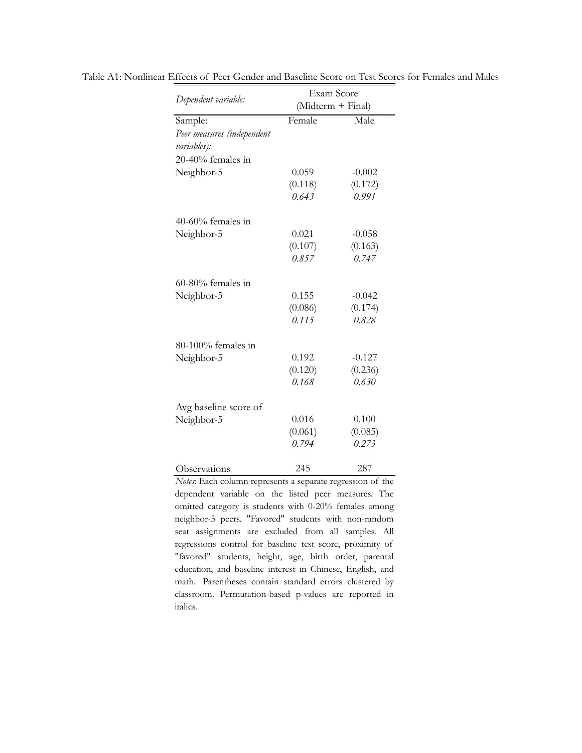|                            | Exam Score |                   |  |  |
|----------------------------|------------|-------------------|--|--|
| Dependent variable:        |            | (Midterm + Final) |  |  |
| Sample:                    | Female     | Male              |  |  |
| Peer measures (independent |            |                   |  |  |
| variables):                |            |                   |  |  |
| 20-40% females in          |            |                   |  |  |
| Neighbor-5                 | 0.059      | $-0.002$          |  |  |
|                            | (0.118)    | (0.172)           |  |  |
|                            | 0.643      | 0.991             |  |  |
| $40-60%$ females in        |            |                   |  |  |
| Neighbor-5                 | 0.021      | $-0.058$          |  |  |
|                            | (0.107)    | (0.163)           |  |  |
|                            | 0.857      | 0.747             |  |  |
| $60-80%$ females in        |            |                   |  |  |
| Neighbor-5                 | 0.155      | $-0.042$          |  |  |
|                            | (0.086)    | (0.174)           |  |  |
|                            | 0.115      | 0.828             |  |  |
| 80-100% females in         |            |                   |  |  |
| Neighbor-5                 | 0.192      | $-0.127$          |  |  |
|                            | (0.120)    | (0.236)           |  |  |
|                            | 0.168      | 0.630             |  |  |
| Avg baseline score of      |            |                   |  |  |
| Neighbor-5                 | 0.016      | 0.100             |  |  |
|                            | (0.061)    | (0.085)           |  |  |
|                            | 0.794      | 0.273             |  |  |
| Observations               | 245        | 287               |  |  |

Table A1: Nonlinear Effects of Peer Gender and Baseline Score on Test Scores for Females and Males

*Notes*: Each column represents a separate regression of the dependent variable on the listed peer measures. The omitted category is students with 0-20% females among neighbor-5 peers. "Favored" students with non-random seat assignments are excluded from all samples. All regressions control for baseline test score, proximity of "favored" students, height, age, birth order, parental education, and baseline interest in Chinese, English, and math. Parentheses contain standard errors clustered by classroom. Permutation-based p-values are reported in italics.